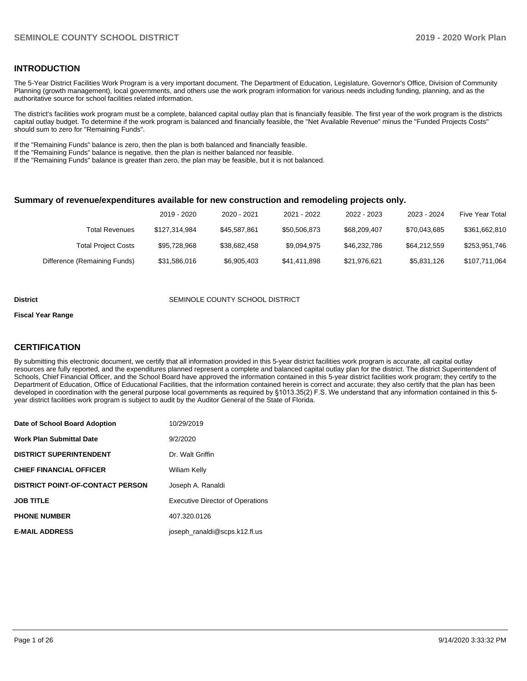# **INTRODUCTION**

The 5-Year District Facilities Work Program is a very important document. The Department of Education, Legislature, Governor's Office, Division of Community Planning (growth management), local governments, and others use the work program information for various needs including funding, planning, and as the authoritative source for school facilities related information.

The district's facilities work program must be a complete, balanced capital outlay plan that is financially feasible. The first year of the work program is the districts capital outlay budget. To determine if the work program is balanced and financially feasible, the "Net Available Revenue" minus the "Funded Projects Costs" should sum to zero for "Remaining Funds".

If the "Remaining Funds" balance is zero, then the plan is both balanced and financially feasible.

If the "Remaining Funds" balance is negative, then the plan is neither balanced nor feasible.

If the "Remaining Funds" balance is greater than zero, the plan may be feasible, but it is not balanced.

### **Summary of revenue/expenditures available for new construction and remodeling projects only.**

|                              | 2019 - 2020   | 2020 - 2021  | 2021 - 2022  | 2022 - 2023  | 2023 - 2024  | <b>Five Year Total</b> |
|------------------------------|---------------|--------------|--------------|--------------|--------------|------------------------|
| Total Revenues               | \$127,314,984 | \$45.587.861 | \$50,506,873 | \$68,209,407 | \$70.043.685 | \$361,662,810          |
| <b>Total Project Costs</b>   | \$95,728,968  | \$38,682,458 | \$9.094.975  | \$46,232,786 | \$64.212.559 | \$253,951,746          |
| Difference (Remaining Funds) | \$31,586,016  | \$6,905,403  | \$41.411.898 | \$21.976.621 | \$5,831,126  | \$107,711,064          |

#### **District SEMINOLE COUNTY SCHOOL DISTRICT**

#### **Fiscal Year Range**

# **CERTIFICATION**

By submitting this electronic document, we certify that all information provided in this 5-year district facilities work program is accurate, all capital outlay resources are fully reported, and the expenditures planned represent a complete and balanced capital outlay plan for the district. The district Superintendent of Schools, Chief Financial Officer, and the School Board have approved the information contained in this 5-year district facilities work program; they certify to the Department of Education, Office of Educational Facilities, that the information contained herein is correct and accurate; they also certify that the plan has been developed in coordination with the general purpose local governments as required by §1013.35(2) F.S. We understand that any information contained in this 5 year district facilities work program is subject to audit by the Auditor General of the State of Florida.

| Date of School Board Adoption    | 10/29/2019                              |
|----------------------------------|-----------------------------------------|
| Work Plan Submittal Date         | 9/2/2020                                |
| <b>DISTRICT SUPERINTENDENT</b>   | Dr. Walt Griffin                        |
| <b>CHIEF FINANCIAL OFFICER</b>   | Wiliam Kelly                            |
| DISTRICT POINT-OF-CONTACT PERSON | Joseph A. Ranaldi                       |
| <b>JOB TITLE</b>                 | <b>Executive Director of Operations</b> |
| <b>PHONE NUMBER</b>              | 407.320.0126                            |
| <b>E-MAIL ADDRESS</b>            | joseph ranaldi@scps.k12.fl.us           |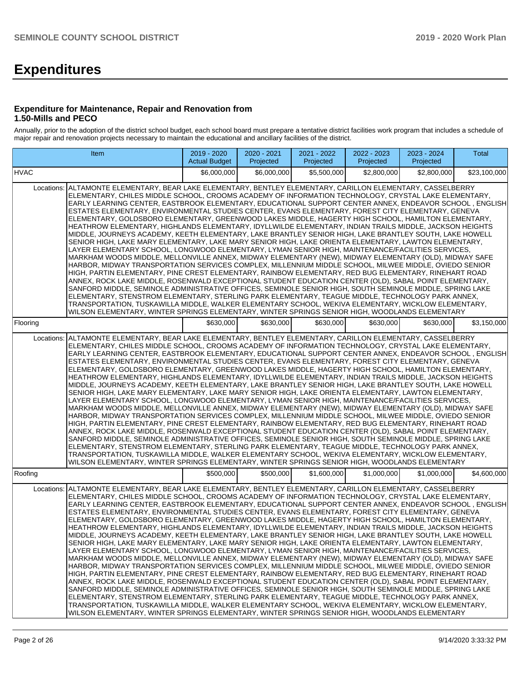# **Expenditures**

## **Expenditure for Maintenance, Repair and Renovation from 1.50-Mills and PECO**

Annually, prior to the adoption of the district school budget, each school board must prepare a tentative district facilities work program that includes a schedule of major repair and renovation projects necessary to maintain the educational and ancillary facilities of the district.

|             | Item                                                                                                                                                                                                                                                                                                                                                                                                                                                                                                                                                                                                                                                                                                                                                                                                                                                                                                                                                                                                                                                                                                                                                                                                                                                                                                                                                                                                                                                                                                                                                                                                                                                                                                                                                                                                                                                | 2019 - 2020<br><b>Actual Budget</b> | 2020 - 2021<br>Projected | 2021 - 2022<br>Projected | 2022 - 2023<br>Projected | 2023 - 2024<br>Projected | Total        |
|-------------|-----------------------------------------------------------------------------------------------------------------------------------------------------------------------------------------------------------------------------------------------------------------------------------------------------------------------------------------------------------------------------------------------------------------------------------------------------------------------------------------------------------------------------------------------------------------------------------------------------------------------------------------------------------------------------------------------------------------------------------------------------------------------------------------------------------------------------------------------------------------------------------------------------------------------------------------------------------------------------------------------------------------------------------------------------------------------------------------------------------------------------------------------------------------------------------------------------------------------------------------------------------------------------------------------------------------------------------------------------------------------------------------------------------------------------------------------------------------------------------------------------------------------------------------------------------------------------------------------------------------------------------------------------------------------------------------------------------------------------------------------------------------------------------------------------------------------------------------------------|-------------------------------------|--------------------------|--------------------------|--------------------------|--------------------------|--------------|
| <b>HVAC</b> |                                                                                                                                                                                                                                                                                                                                                                                                                                                                                                                                                                                                                                                                                                                                                                                                                                                                                                                                                                                                                                                                                                                                                                                                                                                                                                                                                                                                                                                                                                                                                                                                                                                                                                                                                                                                                                                     | \$6,000,000                         | \$6,000,000              | \$5,500,000              | \$2,800,000              | \$2,800,000              | \$23,100,000 |
|             | Locations:   ALTAMONTE ELEMENTARY, BEAR LAKE ELEMENTARY, BENTLEY ELEMENTARY, CARILLON ELEMENTARY, CASSELBERRY<br>ELEMENTARY, CHILES MIDDLE SCHOOL, CROOMS ACADEMY OF INFORMATION TECHNOLOGY, CRYSTAL LAKE ELEMENTARY,<br>EARLY LEARNING CENTER, EASTBROOK ELEMENTARY, EDUCATIONAL SUPPORT CENTER ANNEX, ENDEAVOR SCHOOL, ENGLISH<br>ESTATES ELEMENTARY, ENVIRONMENTAL STUDIES CENTER, EVANS ELEMENTARY, FOREST CITY ELEMENTARY, GENEVA<br>ELEMENTARY, GOLDSBORO ELEMENTARY, GREENWOOD LAKES MIDDLE, HAGERTY HIGH SCHOOL, HAMILTON ELEMENTARY,<br>HEATHROW ELEMENTARY, HIGHLANDS ELEMENTARY, IDYLLWILDE ELEMENTARY, INDIAN TRAILS MIDDLE, JACKSON HEIGHTS<br>MIDDLE, JOURNEYS ACADEMY, KEETH ELEMENTARY, LAKE BRANTLEY SENIOR HIGH, LAKE BRANTLEY SOUTH, LAKE HOWELL<br>SENIOR HIGH, LAKE MARY ELEMENTARY, LAKE MARY SENIOR HIGH, LAKE ORIENTA ELEMENTARY, LAWTON ELEMENTARY,<br>LAYER ELEMENTARY SCHOOL. LONGWOOD ELEMENTARY. LYMAN SENIOR HIGH. MAINTENANCE/FACILITIES SERVICES.<br>MARKHAM WOODS MIDDLE, MELLONVILLE ANNEX, MIDWAY ELEMENTARY (NEW), MIDWAY ELEMENTARY (OLD), MIDWAY SAFE<br>HARBOR, MIDWAY TRANSPORTATION SERVICES COMPLEX, MILLENNIUM MIDDLE SCHOOL, MILWEE MIDDLE, OVIEDO SENIOR<br>HIGH, PARTIN ELEMENTARY, PINE CREST ELEMENTARY, RAINBOW ELEMENTARY, RED BUG ELEMENTARY, RINEHART ROAD<br>ANNEX, ROCK LAKE MIDDLE, ROSENWALD EXCEPTIONAL STUDENT EDUCATION CENTER (OLD), SABAL POINT ELEMENTARY,<br>SANFORD MIDDLE, SEMINOLE ADMINISTRATIVE OFFICES, SEMINOLE SENIOR HIGH, SOUTH SEMINOLE MIDDLE, SPRING LAKE<br>ELEMENTARY, STENSTROM ELEMENTARY, STERLING PARK ELEMENTARY, TEAGUE MIDDLE, TECHNOLOGY PARK ANNEX,<br>TRANSPORTATION, TUSKAWILLA MIDDLE, WALKER ELEMENTARY SCHOOL, WEKIVA ELEMENTARY, WICKLOW ELEMENTARY,<br>WILSON ELEMENTARY, WINTER SPRINGS ELEMENTARY, WINTER SPRINGS SENIOR HIGH, WOODLANDS ELEMENTARY |                                     |                          |                          |                          |                          |              |
| Flooring    |                                                                                                                                                                                                                                                                                                                                                                                                                                                                                                                                                                                                                                                                                                                                                                                                                                                                                                                                                                                                                                                                                                                                                                                                                                                                                                                                                                                                                                                                                                                                                                                                                                                                                                                                                                                                                                                     | \$630,000                           | \$630,000                | \$630,000                | \$630,000                | \$630,000                | \$3,150,000  |
| Locations:  | ALTAMONTE ELEMENTARY, BEAR LAKE ELEMENTARY, BENTLEY ELEMENTARY, CARILLON ELEMENTARY, CASSELBERRY<br>ELEMENTARY, CHILES MIDDLE SCHOOL, CROOMS ACADEMY OF INFORMATION TECHNOLOGY, CRYSTAL LAKE ELEMENTARY,<br>EARLY LEARNING CENTER, EASTBROOK ELEMENTARY, EDUCATIONAL SUPPORT CENTER ANNEX, ENDEAVOR SCHOOL, ENGLISH<br>ESTATES ELEMENTARY, ENVIRONMENTAL STUDIES CENTER, EVANS ELEMENTARY, FOREST CITY ELEMENTARY, GENEVA<br>ELEMENTARY, GOLDSBORO ELEMENTARY, GREENWOOD LAKES MIDDLE, HAGERTY HIGH SCHOOL, HAMILTON ELEMENTARY,<br>HEATHROW ELEMENTARY, HIGHLANDS ELEMENTARY, IDYLLWILDE ELEMENTARY, INDIAN TRAILS MIDDLE, JACKSON HEIGHTS<br>MIDDLE, JOURNEYS ACADEMY, KEETH ELEMENTARY, LAKE BRANTLEY SENIOR HIGH, LAKE BRANTLEY SOUTH, LAKE HOWELL<br>SENIOR HIGH, LAKE MARY ELEMENTARY, LAKE MARY SENIOR HIGH, LAKE ORIENTA ELEMENTARY, LAWTON ELEMENTARY,<br>LAYER ELEMENTARY SCHOOL, LONGWOOD ELEMENTARY, LYMAN SENIOR HIGH, MAINTENANCE/FACILITIES SERVICES,<br>MARKHAM WOODS MIDDLE, MELLONVILLE ANNEX, MIDWAY ELEMENTARY (NEW), MIDWAY ELEMENTARY (OLD), MIDWAY SAFE<br>HARBOR, MIDWAY TRANSPORTATION SERVICES COMPLEX, MILLENNIUM MIDDLE SCHOOL, MILWEE MIDDLE, OVIEDO SENIOR<br>HIGH, PARTIN ELEMENTARY, PINE CREST ELEMENTARY, RAINBOW ELEMENTARY, RED BUG ELEMENTARY, RINEHART ROAD<br>ANNEX, ROCK LAKE MIDDLE, ROSENWALD EXCEPTIONAL STUDENT EDUCATION CENTER (OLD), SABAL POINT ELEMENTARY,<br>SANFORD MIDDLE, SEMINOLE ADMINISTRATIVE OFFICES, SEMINOLE SENIOR HIGH, SOUTH SEMINOLE MIDDLE, SPRING LAKE<br>ELEMENTARY, STENSTROM ELEMENTARY, STERLING PARK ELEMENTARY, TEAGUE MIDDLE, TECHNOLOGY PARK ANNEX,<br>TRANSPORTATION, TUSKAWILLA MIDDLE, WALKER ELEMENTARY SCHOOL, WEKIVA ELEMENTARY, WICKLOW ELEMENTARY,<br>WILSON ELEMENTARY, WINTER SPRINGS ELEMENTARY, WINTER SPRINGS SENIOR HIGH, WOODLANDS ELEMENTARY              |                                     |                          |                          |                          |                          |              |
| Roofing     |                                                                                                                                                                                                                                                                                                                                                                                                                                                                                                                                                                                                                                                                                                                                                                                                                                                                                                                                                                                                                                                                                                                                                                                                                                                                                                                                                                                                                                                                                                                                                                                                                                                                                                                                                                                                                                                     | \$500,000                           | \$500,000                | \$1,600,000              | \$1,000,000              | \$1,000,000              | \$4,600,000  |
| Locations:  | ALTAMONTE ELEMENTARY, BEAR LAKE ELEMENTARY, BENTLEY ELEMENTARY, CARILLON ELEMENTARY, CASSELBERRY<br>ELEMENTARY, CHILES MIDDLE SCHOOL, CROOMS ACADEMY OF INFORMATION TECHNOLOGY, CRYSTAL LAKE ELEMENTARY,<br>EARLY LEARNING CENTER, EASTBROOK ELEMENTARY, EDUCATIONAL SUPPORT CENTER ANNEX, ENDEAVOR SCHOOL , ENGLISH<br>ESTATES ELEMENTARY, ENVIRONMENTAL STUDIES CENTER, EVANS ELEMENTARY, FOREST CITY ELEMENTARY, GENEVA<br>ELEMENTARY, GOLDSBORO ELEMENTARY, GREENWOOD LAKES MIDDLE, HAGERTY HIGH SCHOOL, HAMILTON ELEMENTARY,<br>HEATHROW ELEMENTARY, HIGHLANDS ELEMENTARY, IDYLLWILDE ELEMENTARY, INDIAN TRAILS MIDDLE, JACKSON HEIGHTS<br>MIDDLE, JOURNEYS ACADEMY, KEETH ELEMENTARY, LAKE BRANTLEY SENIOR HIGH, LAKE BRANTLEY SOUTH, LAKE HOWELL<br>SENIOR HIGH, LAKE MARY ELEMENTARY, LAKE MARY SENIOR HIGH, LAKE ORIENTA ELEMENTARY, LAWTON ELEMENTARY,<br>LAYER ELEMENTARY SCHOOL, LONGWOOD ELEMENTARY, LYMAN SENIOR HIGH, MAINTENANCE/FACILITIES SERVICES,<br>MARKHAM WOODS MIDDLE, MELLONVILLE ANNEX, MIDWAY ELEMENTARY (NEW), MIDWAY ELEMENTARY (OLD), MIDWAY SAFE<br>HARBOR, MIDWAY TRANSPORTATION SERVICES COMPLEX, MILLENNIUM MIDDLE SCHOOL, MILWEE MIDDLE, OVIEDO SENIOR<br>HIGH, PARTIN ELEMENTARY, PINE CREST ELEMENTARY, RAINBOW ELEMENTARY, RED BUG ELEMENTARY, RINEHART ROAD<br>ANNEX, ROCK LAKE MIDDLE, ROSENWALD EXCEPTIONAL STUDENT EDUCATION CENTER (OLD), SABAL POINT ELEMENTARY,<br>SANFORD MIDDLE, SEMINOLE ADMINISTRATIVE OFFICES, SEMINOLE SENIOR HIGH, SOUTH SEMINOLE MIDDLE, SPRING LAKE<br>ELEMENTARY, STENSTROM ELEMENTARY, STERLING PARK ELEMENTARY, TEAGUE MIDDLE, TECHNOLOGY PARK ANNEX,<br>TRANSPORTATION, TUSKAWILLA MIDDLE, WALKER ELEMENTARY SCHOOL, WEKIVA ELEMENTARY, WICKLOW ELEMENTARY,<br>WILSON ELEMENTARY, WINTER SPRINGS ELEMENTARY, WINTER SPRINGS SENIOR HIGH, WOODLANDS ELEMENTARY             |                                     |                          |                          |                          |                          |              |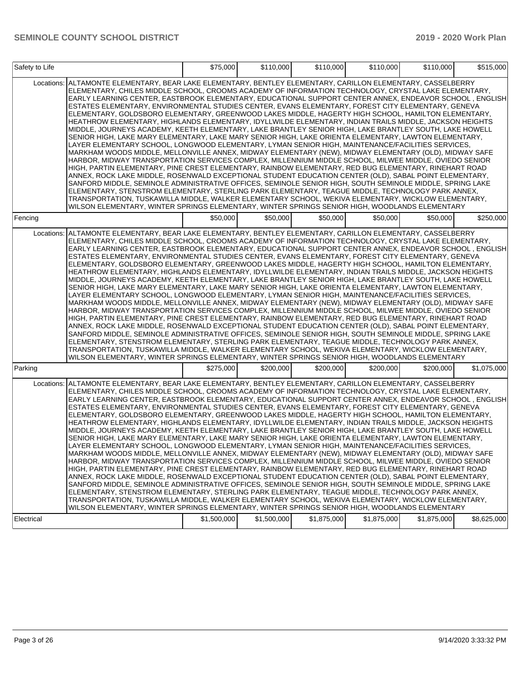| Safety to Life |                                                                                                                                                                                                                                                                                                                                                                                                                                                                                                                                                                                                                                                                                                                                                                                                                                                                                                                                                                                                                                                                                                                                                                                                                                                                                                                                                                                                                                                                                                                                                                                                                                                                                                                                                                                                                                         | \$75,000    | \$110.000   | \$110,000   | \$110,000   | \$110,000   | \$515,000   |
|----------------|-----------------------------------------------------------------------------------------------------------------------------------------------------------------------------------------------------------------------------------------------------------------------------------------------------------------------------------------------------------------------------------------------------------------------------------------------------------------------------------------------------------------------------------------------------------------------------------------------------------------------------------------------------------------------------------------------------------------------------------------------------------------------------------------------------------------------------------------------------------------------------------------------------------------------------------------------------------------------------------------------------------------------------------------------------------------------------------------------------------------------------------------------------------------------------------------------------------------------------------------------------------------------------------------------------------------------------------------------------------------------------------------------------------------------------------------------------------------------------------------------------------------------------------------------------------------------------------------------------------------------------------------------------------------------------------------------------------------------------------------------------------------------------------------------------------------------------------------|-------------|-------------|-------------|-------------|-------------|-------------|
| Locations:     | ALTAMONTE ELEMENTARY, BEAR LAKE ELEMENTARY, BENTLEY ELEMENTARY, CARILLON ELEMENTARY, CASSELBERRY<br>ELEMENTARY, CHILES MIDDLE SCHOOL, CROOMS ACADEMY OF INFORMATION TECHNOLOGY, CRYSTAL LAKE ELEMENTARY,<br>EARLY LEARNING CENTER, EASTBROOK ELEMENTARY, EDUCATIONAL SUPPORT CENTER ANNEX, ENDEAVOR SCHOOL , ENGLISH<br>ESTATES ELEMENTARY, ENVIRONMENTAL STUDIES CENTER, EVANS ELEMENTARY, FOREST CITY ELEMENTARY, GENEVA<br>ELEMENTARY, GOLDSBORO ELEMENTARY, GREENWOOD LAKES MIDDLE, HAGERTY HIGH SCHOOL, HAMILTON ELEMENTARY,<br>HEATHROW ELEMENTARY, HIGHLANDS ELEMENTARY, IDYLLWILDE ELEMENTARY, INDIAN TRAILS MIDDLE, JACKSON HEIGHTS<br>MIDDLE, JOURNEYS ACADEMY, KEETH ELEMENTARY, LAKE BRANTLEY SENIOR HIGH, LAKE BRANTLEY SOUTH, LAKE HOWELL<br>SENIOR HIGH, LAKE MARY ELEMENTARY, LAKE MARY SENIOR HIGH, LAKE ORIENTA ELEMENTARY, LAWTON ELEMENTARY,<br>LAYER ELEMENTARY SCHOOL, LONGWOOD ELEMENTARY, LYMAN SENIOR HIGH, MAINTENANCE/FACILITIES SERVICES,<br>MARKHAM WOODS MIDDLE, MELLONVILLE ANNEX, MIDWAY ELEMENTARY (NEW), MIDWAY ELEMENTARY (OLD), MIDWAY SAFE<br>HARBOR, MIDWAY TRANSPORTATION SERVICES COMPLEX, MILLENNIUM MIDDLE SCHOOL, MILWEE MIDDLE, OVIEDO SENIOR<br>HIGH, PARTIN ELEMENTARY, PINE CREST ELEMENTARY, RAINBOW ELEMENTARY, RED BUG ELEMENTARY, RINEHART ROAD<br>ANNEX, ROCK LAKE MIDDLE, ROSENWALD EXCEPTIONAL STUDENT EDUCATION CENTER (OLD), SABAL POINT ELEMENTARY,<br>SANFORD MIDDLE, SEMINOLE ADMINISTRATIVE OFFICES, SEMINOLE SENIOR HIGH, SOUTH SEMINOLE MIDDLE, SPRING LAKE<br>ELEMENTARY, STENSTROM ELEMENTARY, STERLING PARK ELEMENTARY, TEAGUE MIDDLE, TECHNOLOGY PARK ANNEX,<br>TRANSPORTATION, TUSKAWILLA MIDDLE, WALKER ELEMENTARY SCHOOL, WEKIVA ELEMENTARY, WICKLOW ELEMENTARY,<br>WILSON ELEMENTARY, WINTER SPRINGS ELEMENTARY, WINTER SPRINGS SENIOR HIGH, WOODLANDS ELEMENTARY |             |             |             |             |             |             |
| Fencing        |                                                                                                                                                                                                                                                                                                                                                                                                                                                                                                                                                                                                                                                                                                                                                                                                                                                                                                                                                                                                                                                                                                                                                                                                                                                                                                                                                                                                                                                                                                                                                                                                                                                                                                                                                                                                                                         | \$50,000    | \$50.000    | \$50,000    | \$50,000    | \$50,000    | \$250,000   |
| Locations:     | ALTAMONTE ELEMENTARY, BEAR LAKE ELEMENTARY, BENTLEY ELEMENTARY, CARILLON ELEMENTARY, CASSELBERRY<br>ELEMENTARY, CHILES MIDDLE SCHOOL, CROOMS ACADEMY OF INFORMATION TECHNOLOGY, CRYSTAL LAKE ELEMENTARY,<br>EARLY LEARNING CENTER, EASTBROOK ELEMENTARY, EDUCATIONAL SUPPORT CENTER ANNEX, ENDEAVOR SCHOOL , ENGLISH<br>ESTATES ELEMENTARY, ENVIRONMENTAL STUDIES CENTER, EVANS ELEMENTARY, FOREST CITY ELEMENTARY, GENEVA<br>ELEMENTARY, GOLDSBORO ELEMENTARY, GREENWOOD LAKES MIDDLE, HAGERTY HIGH SCHOOL, HAMILTON ELEMENTARY,<br>HEATHROW ELEMENTARY, HIGHLANDS ELEMENTARY, IDYLLWILDE ELEMENTARY, INDIAN TRAILS MIDDLE, JACKSON HEIGHTS<br>MIDDLE, JOURNEYS ACADEMY, KEETH ELEMENTARY, LAKE BRANTLEY SENIOR HIGH, LAKE BRANTLEY SOUTH, LAKE HOWELL<br>SENIOR HIGH, LAKE MARY ELEMENTARY, LAKE MARY SENIOR HIGH, LAKE ORIENTA ELEMENTARY, LAWTON ELEMENTARY,<br>LAYER ELEMENTARY SCHOOL, LONGWOOD ELEMENTARY, LYMAN SENIOR HIGH, MAINTENANCE/FACILITIES SERVICES,<br>MARKHAM WOODS MIDDLE, MELLONVILLE ANNEX, MIDWAY ELEMENTARY (NEW), MIDWAY ELEMENTARY (OLD), MIDWAY SAFE<br>HARBOR, MIDWAY TRANSPORTATION SERVICES COMPLEX, MILLENNIUM MIDDLE SCHOOL, MILWEE MIDDLE, OVIEDO SENIOR<br>HIGH, PARTIN ELEMENTARY, PINE CREST ELEMENTARY, RAINBOW ELEMENTARY, RED BUG ELEMENTARY, RINEHART ROAD<br>ANNEX, ROCK LAKE MIDDLE, ROSENWALD EXCEPTIONAL STUDENT EDUCATION CENTER (OLD), SABAL POINT ELEMENTARY,<br>SANFORD MIDDLE, SEMINOLE ADMINISTRATIVE OFFICES, SEMINOLE SENIOR HIGH, SOUTH SEMINOLE MIDDLE, SPRING LAKE<br>ELEMENTARY, STENSTROM ELEMENTARY, STERLING PARK ELEMENTARY, TEAGUE MIDDLE, TECHNOLOGY PARK ANNEX,<br>TRANSPORTATION, TUSKAWILLA MIDDLE, WALKER ELEMENTARY SCHOOL, WEKIVA ELEMENTARY, WICKLOW ELEMENTARY,<br>WILSON ELEMENTARY, WINTER SPRINGS ELEMENTARY, WINTER SPRINGS SENIOR HIGH, WOODLANDS ELEMENTARY |             |             |             |             |             |             |
| Parking        |                                                                                                                                                                                                                                                                                                                                                                                                                                                                                                                                                                                                                                                                                                                                                                                                                                                                                                                                                                                                                                                                                                                                                                                                                                                                                                                                                                                                                                                                                                                                                                                                                                                                                                                                                                                                                                         | \$275,000   | \$200,000   | \$200,000   | \$200,000   | \$200,000   | \$1,075,000 |
| Locations:     | ALTAMONTE ELEMENTARY, BEAR LAKE ELEMENTARY, BENTLEY ELEMENTARY, CARILLON ELEMENTARY, CASSELBERRY<br>ELEMENTARY, CHILES MIDDLE SCHOOL, CROOMS ACADEMY OF INFORMATION TECHNOLOGY, CRYSTAL LAKE ELEMENTARY,<br>EARLY LEARNING CENTER, EASTBROOK ELEMENTARY, EDUCATIONAL SUPPORT CENTER ANNEX, ENDEAVOR SCHOOL , ENGLISH<br>ESTATES ELEMENTARY, ENVIRONMENTAL STUDIES CENTER, EVANS ELEMENTARY, FOREST CITY ELEMENTARY, GENEVA<br>ELEMENTARY, GOLDSBORO ELEMENTARY, GREENWOOD LAKES MIDDLE, HAGERTY HIGH SCHOOL, HAMILTON ELEMENTARY,<br>HEATHROW ELEMENTARY, HIGHLANDS ELEMENTARY, IDYLLWILDE ELEMENTARY, INDIAN TRAILS MIDDLE, JACKSON HEIGHTS<br>MIDDLE, JOURNEYS ACADEMY, KEETH ELEMENTARY, LAKE BRANTLEY SENIOR HIGH, LAKE BRANTLEY SOUTH, LAKE HOWELL<br>SENIOR HIGH, LAKE MARY ELEMENTARY, LAKE MARY SENIOR HIGH, LAKE ORIENTA ELEMENTARY, LAWTON ELEMENTARY,<br>LAYER ELEMENTARY SCHOOL, LONGWOOD ELEMENTARY, LYMAN SENIOR HIGH, MAINTENANCE/FACILITIES SERVICES,<br>MARKHAM WOODS MIDDLE, MELLONVILLE ANNEX, MIDWAY ELEMENTARY (NEW), MIDWAY ELEMENTARY (OLD), MIDWAY SAFE<br>HARBOR, MIDWAY TRANSPORTATION SERVICES COMPLEX, MILLENNIUM MIDDLE SCHOOL, MILWEE MIDDLE, OVIEDO SENIOR<br>HIGH, PARTIN ELEMENTARY, PINE CREST ELEMENTARY, RAINBOW ELEMENTARY, RED BUG ELEMENTARY, RINEHART ROAD<br>ANNEX, ROCK LAKE MIDDLE, ROSENWALD EXCEPTIONAL STUDENT EDUCATION CENTER (OLD), SABAL POINT ELEMENTARY,<br>SANFORD MIDDLE, SEMINOLE ADMINISTRATIVE OFFICES, SEMINOLE SENIOR HIGH, SOUTH SEMINOLE MIDDLE, SPRING LAKE<br>ELEMENTARY, STENSTROM ELEMENTARY, STERLING PARK ELEMENTARY, TEAGUE MIDDLE, TECHNOLOGY PARK ANNEX,<br>TRANSPORTATION, TUSKAWILLA MIDDLE, WALKER ELEMENTARY SCHOOL, WEKIVA ELEMENTARY, WICKLOW ELEMENTARY,<br>WILSON ELEMENTARY, WINTER SPRINGS ELEMENTARY, WINTER SPRINGS SENIOR HIGH, WOODLANDS ELEMENTARY |             |             |             |             |             |             |
| Electrical     |                                                                                                                                                                                                                                                                                                                                                                                                                                                                                                                                                                                                                                                                                                                                                                                                                                                                                                                                                                                                                                                                                                                                                                                                                                                                                                                                                                                                                                                                                                                                                                                                                                                                                                                                                                                                                                         | \$1,500,000 | \$1,500,000 | \$1,875,000 | \$1,875,000 | \$1,875,000 | \$8,625,000 |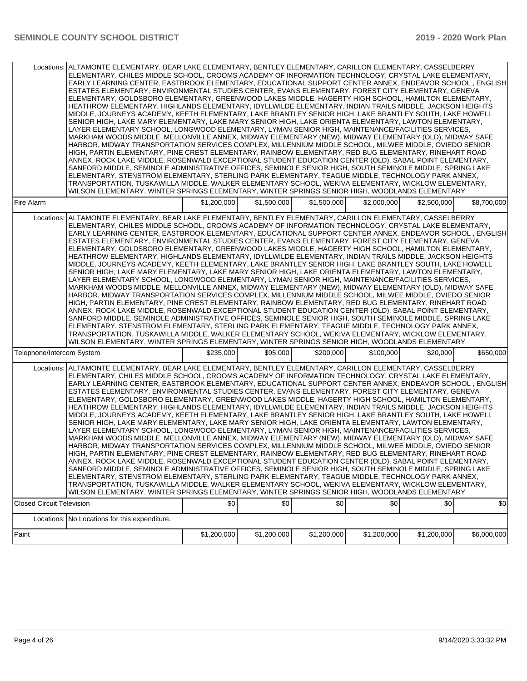|                                  | Locations: ALTAMONTE ELEMENTARY, BEAR LAKE ELEMENTARY, BENTLEY ELEMENTARY, CARILLON ELEMENTARY, CASSELBERRY<br>ELEMENTARY, CHILES MIDDLE SCHOOL, CROOMS ACADEMY OF INFORMATION TECHNOLOGY, CRYSTAL LAKE ELEMENTARY,<br>EARLY LEARNING CENTER, EASTBROOK ELEMENTARY, EDUCATIONAL SUPPORT CENTER ANNEX, ENDEAVOR SCHOOL , ENGLISH<br>ESTATES ELEMENTARY, ENVIRONMENTAL STUDIES CENTER, EVANS ELEMENTARY, FOREST CITY ELEMENTARY, GENEVA<br>ELEMENTARY, GOLDSBORO ELEMENTARY, GREENWOOD LAKES MIDDLE, HAGERTY HIGH SCHOOL, HAMILTON ELEMENTARY,<br>HEATHROW ELEMENTARY, HIGHLANDS ELEMENTARY, IDYLLWILDE ELEMENTARY, INDIAN TRAILS MIDDLE, JACKSON HEIGHTS<br>MIDDLE, JOURNEYS ACADEMY, KEETH ELEMENTARY, LAKE BRANTLEY SENIOR HIGH, LAKE BRANTLEY SOUTH, LAKE HOWELL<br>SENIOR HIGH, LAKE MARY ELEMENTARY, LAKE MARY SENIOR HIGH, LAKE ORIENTA ELEMENTARY, LAWTON ELEMENTARY,<br>LAYER ELEMENTARY SCHOOL, LONGWOOD ELEMENTARY, LYMAN SENIOR HIGH, MAINTENANCE/FACILITIES SERVICES,<br>MARKHAM WOODS MIDDLE, MELLONVILLE ANNEX, MIDWAY ELEMENTARY (NEW), MIDWAY ELEMENTARY (OLD), MIDWAY SAFE<br>HARBOR, MIDWAY TRANSPORTATION SERVICES COMPLEX, MILLENNIUM MIDDLE SCHOOL, MILWEE MIDDLE, OVIEDO SENIOR<br>HIGH, PARTIN ELEMENTARY, PINE CREST ELEMENTARY, RAINBOW ELEMENTARY, RED BUG ELEMENTARY, RINEHART ROAD<br>ANNEX, ROCK LAKE MIDDLE, ROSENWALD EXCEPTIONAL STUDENT EDUCATION CENTER (OLD), SABAL POINT ELEMENTARY,<br>SANFORD MIDDLE, SEMINOLE ADMINISTRATIVE OFFICES, SEMINOLE SENIOR HIGH, SOUTH SEMINOLE MIDDLE, SPRING LAKE<br>ELEMENTARY, STENSTROM ELEMENTARY, STERLING PARK ELEMENTARY, TEAGUE MIDDLE, TECHNOLOGY PARK ANNEX,<br>TRANSPORTATION, TUSKAWILLA MIDDLE, WALKER ELEMENTARY SCHOOL, WEKIVA ELEMENTARY, WICKLOW ELEMENTARY,<br>WILSON ELEMENTARY, WINTER SPRINGS ELEMENTARY, WINTER SPRINGS SENIOR HIGH, WOODLANDS ELEMENTARY |             |             |             |             |             |             |
|----------------------------------|----------------------------------------------------------------------------------------------------------------------------------------------------------------------------------------------------------------------------------------------------------------------------------------------------------------------------------------------------------------------------------------------------------------------------------------------------------------------------------------------------------------------------------------------------------------------------------------------------------------------------------------------------------------------------------------------------------------------------------------------------------------------------------------------------------------------------------------------------------------------------------------------------------------------------------------------------------------------------------------------------------------------------------------------------------------------------------------------------------------------------------------------------------------------------------------------------------------------------------------------------------------------------------------------------------------------------------------------------------------------------------------------------------------------------------------------------------------------------------------------------------------------------------------------------------------------------------------------------------------------------------------------------------------------------------------------------------------------------------------------------------------------------------------------------------------------------------------------------|-------------|-------------|-------------|-------------|-------------|-------------|
| Fire Alarm                       |                                                                                                                                                                                                                                                                                                                                                                                                                                                                                                                                                                                                                                                                                                                                                                                                                                                                                                                                                                                                                                                                                                                                                                                                                                                                                                                                                                                                                                                                                                                                                                                                                                                                                                                                                                                                                                                    | \$1,200,000 | \$1,500,000 | \$1,500,000 | \$2,000,000 | \$2,500,000 | \$8,700,000 |
|                                  | Locations: ALTAMONTE ELEMENTARY, BEAR LAKE ELEMENTARY, BENTLEY ELEMENTARY, CARILLON ELEMENTARY, CASSELBERRY<br>ELEMENTARY, CHILES MIDDLE SCHOOL, CROOMS ACADEMY OF INFORMATION TECHNOLOGY, CRYSTAL LAKE ELEMENTARY,<br>EARLY LEARNING CENTER, EASTBROOK ELEMENTARY, EDUCATIONAL SUPPORT CENTER ANNEX, ENDEAVOR SCHOOL, ENGLISH<br>ESTATES ELEMENTARY, ENVIRONMENTAL STUDIES CENTER, EVANS ELEMENTARY, FOREST CITY ELEMENTARY, GENEVA<br>ELEMENTARY, GOLDSBORO ELEMENTARY, GREENWOOD LAKES MIDDLE, HAGERTY HIGH SCHOOL, HAMILTON ELEMENTARY,<br>HEATHROW ELEMENTARY, HIGHLANDS ELEMENTARY, IDYLLWILDE ELEMENTARY, INDIAN TRAILS MIDDLE, JACKSON HEIGHTS<br>MIDDLE, JOURNEYS ACADEMY, KEETH ELEMENTARY, LAKE BRANTLEY SENIOR HIGH, LAKE BRANTLEY SOUTH, LAKE HOWELL<br>SENIOR HIGH, LAKE MARY ELEMENTARY, LAKE MARY SENIOR HIGH, LAKE ORIENTA ELEMENTARY, LAWTON ELEMENTARY,<br>LAYER ELEMENTARY SCHOOL, LONGWOOD ELEMENTARY, LYMAN SENIOR HIGH, MAINTENANCE/FACILITIES SERVICES,<br>MARKHAM WOODS MIDDLE, MELLONVILLE ANNEX, MIDWAY ELEMENTARY (NEW), MIDWAY ELEMENTARY (OLD), MIDWAY SAFE<br>HARBOR, MIDWAY TRANSPORTATION SERVICES COMPLEX, MILLENNIUM MIDDLE SCHOOL, MILWEE MIDDLE, OVIEDO SENIOR<br>HIGH, PARTIN ELEMENTARY, PINE CREST ELEMENTARY, RAINBOW ELEMENTARY, RED BUG ELEMENTARY, RINEHART ROAD<br>ANNEX, ROCK LAKE MIDDLE, ROSENWALD EXCEPTIONAL STUDENT EDUCATION CENTER (OLD), SABAL POINT ELEMENTARY,<br>SANFORD MIDDLE, SEMINOLE ADMINISTRATIVE OFFICES, SEMINOLE SENIOR HIGH, SOUTH SEMINOLE MIDDLE, SPRING LAKE<br>ELEMENTARY, STENSTROM ELEMENTARY, STERLING PARK ELEMENTARY, TEAGUE MIDDLE, TECHNOLOGY PARK ANNEX,<br>TRANSPORTATION, TUSKAWILLA MIDDLE, WALKER ELEMENTARY SCHOOL, WEKIVA ELEMENTARY, WICKLOW ELEMENTARY,<br>WILSON ELEMENTARY, WINTER SPRINGS ELEMENTARY, WINTER SPRINGS SENIOR HIGH, WOODLANDS ELEMENTARY  |             |             |             |             |             |             |
| Telephone/Intercom System        |                                                                                                                                                                                                                                                                                                                                                                                                                                                                                                                                                                                                                                                                                                                                                                                                                                                                                                                                                                                                                                                                                                                                                                                                                                                                                                                                                                                                                                                                                                                                                                                                                                                                                                                                                                                                                                                    | \$235,000   | \$95,000    | \$200,000   | \$100,000   | \$20,000    | \$650,000   |
|                                  | Locations: ALTAMONTE ELEMENTARY, BEAR LAKE ELEMENTARY, BENTLEY ELEMENTARY, CARILLON ELEMENTARY, CASSELBERRY<br>ELEMENTARY, CHILES MIDDLE SCHOOL, CROOMS ACADEMY OF INFORMATION TECHNOLOGY, CRYSTAL LAKE ELEMENTARY,<br>EARLY LEARNING CENTER, EASTBROOK ELEMENTARY, EDUCATIONAL SUPPORT CENTER ANNEX, ENDEAVOR SCHOOL, ENGLISH<br>ESTATES ELEMENTARY, ENVIRONMENTAL STUDIES CENTER, EVANS ELEMENTARY, FOREST CITY ELEMENTARY, GENEVA<br>ELEMENTARY, GOLDSBORO ELEMENTARY, GREENWOOD LAKES MIDDLE, HAGERTY HIGH SCHOOL, HAMILTON ELEMENTARY,<br>HEATHROW ELEMENTARY, HIGHLANDS ELEMENTARY, IDYLLWILDE ELEMENTARY, INDIAN TRAILS MIDDLE, JACKSON HEIGHTS<br>MIDDLE, JOURNEYS ACADEMY, KEETH ELEMENTARY, LAKE BRANTLEY SENIOR HIGH, LAKE BRANTLEY SOUTH, LAKE HOWELL<br>SENIOR HIGH, LAKE MARY ELEMENTARY, LAKE MARY SENIOR HIGH, LAKE ORIENTA ELEMENTARY, LAWTON ELEMENTARY,<br>LAYER ELEMENTARY SCHOOL, LONGWOOD ELEMENTARY, LYMAN SENIOR HIGH, MAINTENANCE/FACILITIES SERVICES,<br>MARKHAM WOODS MIDDLE, MELLONVILLE ANNEX, MIDWAY ELEMENTARY (NEW), MIDWAY ELEMENTARY (OLD), MIDWAY SAFE<br>HARBOR, MIDWAY TRANSPORTATION SERVICES COMPLEX, MILLENNIUM MIDDLE SCHOOL, MILWEE MIDDLE, OVIEDO SENIOR<br>HIGH, PARTIN ELEMENTARY, PINE CREST ELEMENTARY, RAINBOW ELEMENTARY, RED BUG ELEMENTARY, RINEHART ROAD<br>ANNEX, ROCK LAKE MIDDLE, ROSENWALD EXCEPTIONAL STUDENT EDUCATION CENTER (OLD), SABAL POINT ELEMENTARY,<br>SANFORD MIDDLE, SEMINOLE ADMINISTRATIVE OFFICES, SEMINOLE SENIOR HIGH, SOUTH SEMINOLE MIDDLE, SPRING LAKE<br>ELEMENTARY, STENSTROM ELEMENTARY, STERLING PARK ELEMENTARY, TEAGUE MIDDLE, TECHNOLOGY PARK ANNEX,<br>TRANSPORTATION, TUSKAWILLA MIDDLE, WALKER ELEMENTARY SCHOOL, WEKIVA ELEMENTARY, WICKLOW ELEMENTARY,<br>WILSON ELEMENTARY, WINTER SPRINGS ELEMENTARY, WINTER SPRINGS SENIOR HIGH, WOODLANDS ELEMENTARY  |             |             |             |             |             |             |
| <b>Closed Circuit Television</b> |                                                                                                                                                                                                                                                                                                                                                                                                                                                                                                                                                                                                                                                                                                                                                                                                                                                                                                                                                                                                                                                                                                                                                                                                                                                                                                                                                                                                                                                                                                                                                                                                                                                                                                                                                                                                                                                    | \$0         | \$0         | \$0         | \$0         | \$0         | 30          |
| Locations:                       | No Locations for this expenditure.                                                                                                                                                                                                                                                                                                                                                                                                                                                                                                                                                                                                                                                                                                                                                                                                                                                                                                                                                                                                                                                                                                                                                                                                                                                                                                                                                                                                                                                                                                                                                                                                                                                                                                                                                                                                                 |             |             |             |             |             |             |
| Paint                            |                                                                                                                                                                                                                                                                                                                                                                                                                                                                                                                                                                                                                                                                                                                                                                                                                                                                                                                                                                                                                                                                                                                                                                                                                                                                                                                                                                                                                                                                                                                                                                                                                                                                                                                                                                                                                                                    | \$1,200,000 | \$1,200,000 | \$1,200,000 | \$1,200,000 | \$1,200,000 | \$6,000,000 |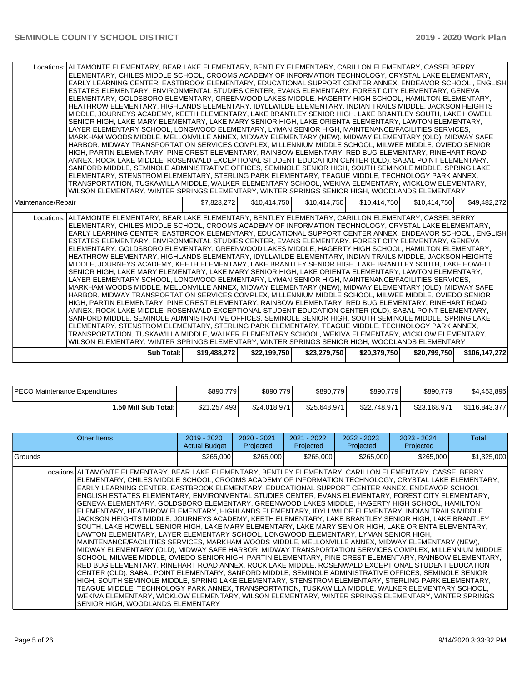|                    | Locations: ALTAMONTE ELEMENTARY, BEAR LAKE ELEMENTARY, BENTLEY ELEMENTARY, CARILLON ELEMENTARY, CASSELBERRY<br>ELEMENTARY, CHILES MIDDLE SCHOOL, CROOMS ACADEMY OF INFORMATION TECHNOLOGY, CRYSTAL LAKE ELEMENTARY,<br>EARLY LEARNING CENTER, EASTBROOK ELEMENTARY, EDUCATIONAL SUPPORT CENTER ANNEX, ENDEAVOR SCHOOL, ENGLISH<br>ESTATES ELEMENTARY, ENVIRONMENTAL STUDIES CENTER, EVANS ELEMENTARY, FOREST CITY ELEMENTARY, GENEVA<br>ELEMENTARY, GOLDSBORO ELEMENTARY, GREENWOOD LAKES MIDDLE, HAGERTY HIGH SCHOOL, HAMILTON ELEMENTARY,<br>HEATHROW ELEMENTARY. HIGHLANDS ELEMENTARY. IDYLLWILDE ELEMENTARY. INDIAN TRAILS MIDDLE, JACKSON HEIGHTS<br>MIDDLE, JOURNEYS ACADEMY, KEETH ELEMENTARY, LAKE BRANTLEY SENIOR HIGH, LAKE BRANTLEY SOUTH, LAKE HOWELL<br>SENIOR HIGH, LAKE MARY ELEMENTARY, LAKE MARY SENIOR HIGH, LAKE ORIENTA ELEMENTARY, LAWTON ELEMENTARY,<br>LAYER ELEMENTARY SCHOOL, LONGWOOD ELEMENTARY, LYMAN SENIOR HIGH, MAINTENANCE/FACILITIES SERVICES.<br>MARKHAM WOODS MIDDLE, MELLONVILLE ANNEX, MIDWAY ELEMENTARY (NEW), MIDWAY ELEMENTARY (OLD), MIDWAY SAFE<br>HARBOR, MIDWAY TRANSPORTATION SERVICES COMPLEX, MILLENNIUM MIDDLE SCHOOL, MILWEE MIDDLE, OVIEDO SENIOR<br>HIGH, PARTIN ELEMENTARY, PINE CREST ELEMENTARY, RAINBOW ELEMENTARY, RED BUG ELEMENTARY, RINEHART ROAD<br>ANNEX, ROCK LAKE MIDDLE, ROSENWALD EXCEPTIONAL STUDENT EDUCATION CENTER (OLD), SABAL POINT ELEMENTARY,<br>SANFORD MIDDLE, SEMINOLE ADMINISTRATIVE OFFICES, SEMINOLE SENIOR HIGH, SOUTH SEMINOLE MIDDLE, SPRING LAKE<br>ELEMENTARY, STENSTROM ELEMENTARY, STERLING PARK ELEMENTARY, TEAGUE MIDDLE, TECHNOLOGY PARK ANNEX,<br>TRANSPORTATION, TUSKAWILLA MIDDLE, WALKER ELEMENTARY SCHOOL, WEKIVA ELEMENTARY, WICKLOW ELEMENTARY,<br>WILSON ELEMENTARY. WINTER SPRINGS ELEMENTARY. WINTER SPRINGS SENIOR HIGH. WOODLANDS ELEMENTARY |              |              |              |              |              |               |
|--------------------|---------------------------------------------------------------------------------------------------------------------------------------------------------------------------------------------------------------------------------------------------------------------------------------------------------------------------------------------------------------------------------------------------------------------------------------------------------------------------------------------------------------------------------------------------------------------------------------------------------------------------------------------------------------------------------------------------------------------------------------------------------------------------------------------------------------------------------------------------------------------------------------------------------------------------------------------------------------------------------------------------------------------------------------------------------------------------------------------------------------------------------------------------------------------------------------------------------------------------------------------------------------------------------------------------------------------------------------------------------------------------------------------------------------------------------------------------------------------------------------------------------------------------------------------------------------------------------------------------------------------------------------------------------------------------------------------------------------------------------------------------------------------------------------------------------------------------------------------------|--------------|--------------|--------------|--------------|--------------|---------------|
| Maintenance/Repair |                                                                                                                                                                                                                                                                                                                                                                                                                                                                                                                                                                                                                                                                                                                                                                                                                                                                                                                                                                                                                                                                                                                                                                                                                                                                                                                                                                                                                                                                                                                                                                                                                                                                                                                                                                                                                                                   | \$7.823.272  | \$10,414,750 | \$10.414.750 | \$10,414,750 | \$10,414,750 | \$49,482,272  |
|                    | Locations: ALTAMONTE ELEMENTARY, BEAR LAKE ELEMENTARY, BENTLEY ELEMENTARY, CARILLON ELEMENTARY, CASSELBERRY<br>ELEMENTARY, CHILES MIDDLE SCHOOL, CROOMS ACADEMY OF INFORMATION TECHNOLOGY, CRYSTAL LAKE ELEMENTARY,<br>EARLY LEARNING CENTER, EASTBROOK ELEMENTARY, EDUCATIONAL SUPPORT CENTER ANNEX, ENDEAVOR SCHOOL, ENGLISH<br>ESTATES ELEMENTARY, ENVIRONMENTAL STUDIES CENTER, EVANS ELEMENTARY, FOREST CITY ELEMENTARY, GENEVA<br>ELEMENTARY, GOLDSBORO ELEMENTARY, GREENWOOD LAKES MIDDLE, HAGERTY HIGH SCHOOL, HAMILTON ELEMENTARY,<br>HEATHROW ELEMENTARY, HIGHLANDS ELEMENTARY, IDYLLWILDE ELEMENTARY, INDIAN TRAILS MIDDLE, JACKSON HEIGHTS<br>MIDDLE, JOURNEYS ACADEMY, KEETH ELEMENTARY, LAKE BRANTLEY SENIOR HIGH, LAKE BRANTLEY SOUTH, LAKE HOWELL<br>SENIOR HIGH, LAKE MARY ELEMENTARY, LAKE MARY SENIOR HIGH, LAKE ORIENTA ELEMENTARY, LAWTON ELEMENTARY,<br>LAYER ELEMENTARY SCHOOL, LONGWOOD ELEMENTARY, LYMAN SENIOR HIGH, MAINTENANCE/FACILITIES SERVICES,<br>MARKHAM WOODS MIDDLE, MELLONVILLE ANNEX, MIDWAY ELEMENTARY (NEW), MIDWAY ELEMENTARY (OLD), MIDWAY SAFE<br>HARBOR, MIDWAY TRANSPORTATION SERVICES COMPLEX, MILLENNIUM MIDDLE SCHOOL, MILWEE MIDDLE, OVIEDO SENIOR<br>HIGH, PARTIN ELEMENTARY, PINE CREST ELEMENTARY, RAINBOW ELEMENTARY, RED BUG ELEMENTARY, RINEHART ROAD<br>ANNEX, ROCK LAKE MIDDLE, ROSENWALD EXCEPTIONAL STUDENT EDUCATION CENTER (OLD), SABAL POINT ELEMENTARY.<br>SANFORD MIDDLE, SEMINOLE ADMINISTRATIVE OFFICES, SEMINOLE SENIOR HIGH, SOUTH SEMINOLE MIDDLE, SPRING LAKE<br>ELEMENTARY, STENSTROM ELEMENTARY, STERLING PARK ELEMENTARY, TEAGUE MIDDLE, TECHNOLOGY PARK ANNEX,<br>TRANSPORTATION, TUSKAWILLA MIDDLE, WALKER ELEMENTARY SCHOOL, WEKIVA ELEMENTARY, WICKLOW ELEMENTARY,<br>WILSON ELEMENTARY, WINTER SPRINGS ELEMENTARY, WINTER SPRINGS SENIOR HIGH, WOODLANDS ELEMENTARY |              |              |              |              |              |               |
|                    | <b>Sub Total:</b>                                                                                                                                                                                                                                                                                                                                                                                                                                                                                                                                                                                                                                                                                                                                                                                                                                                                                                                                                                                                                                                                                                                                                                                                                                                                                                                                                                                                                                                                                                                                                                                                                                                                                                                                                                                                                                 | \$19,488,272 | \$22,199,750 | \$23,279,750 | \$20,379,750 | \$20,799,750 | \$106,147,272 |

| PECO Maintenance Expenditures | \$890,779    | \$890,779    | \$890,779    | \$890,779    | \$890,779    | \$4,453,895   |
|-------------------------------|--------------|--------------|--------------|--------------|--------------|---------------|
| ا :50 Mill Sub Total.         | \$21,257,493 | \$24.018.971 | \$25,648,971 | \$22,748,971 | \$23,168,971 | \$116,843,377 |

| Other Items                                                                                                                                                                                                                                                                                                                                                                                                                                                                                                                                                                                                                                                                                                                                                                                                                                                                                                                                                                                                                                                                                                                                                                                                                                                                                                                                                                                                                                                                                                                                                                                                                                                                                                                                                                                                                                         | $2019 - 2020$<br><b>Actual Budget</b> | 2020 - 2021<br>Projected | 2021 - 2022<br>Projected | $2022 - 2023$<br>Projected | 2023 - 2024<br>Projected | Total       |
|-----------------------------------------------------------------------------------------------------------------------------------------------------------------------------------------------------------------------------------------------------------------------------------------------------------------------------------------------------------------------------------------------------------------------------------------------------------------------------------------------------------------------------------------------------------------------------------------------------------------------------------------------------------------------------------------------------------------------------------------------------------------------------------------------------------------------------------------------------------------------------------------------------------------------------------------------------------------------------------------------------------------------------------------------------------------------------------------------------------------------------------------------------------------------------------------------------------------------------------------------------------------------------------------------------------------------------------------------------------------------------------------------------------------------------------------------------------------------------------------------------------------------------------------------------------------------------------------------------------------------------------------------------------------------------------------------------------------------------------------------------------------------------------------------------------------------------------------------------|---------------------------------------|--------------------------|--------------------------|----------------------------|--------------------------|-------------|
| Grounds                                                                                                                                                                                                                                                                                                                                                                                                                                                                                                                                                                                                                                                                                                                                                                                                                                                                                                                                                                                                                                                                                                                                                                                                                                                                                                                                                                                                                                                                                                                                                                                                                                                                                                                                                                                                                                             | \$265,000                             | \$265,000                | \$265,000                | \$265,000                  | \$265,000                | \$1,325,000 |
| Locations ALTAMONTE ELEMENTARY, BEAR LAKE ELEMENTARY, BENTLEY ELEMENTARY, CARILLON ELEMENTARY, CASSELBERRY<br>ELEMENTARY, CHILES MIDDLE SCHOOL, CROOMS ACADEMY OF INFORMATION TECHNOLOGY, CRYSTAL LAKE ELEMENTARY,<br>EARLY LEARNING CENTER, EASTBROOK ELEMENTARY, EDUCATIONAL SUPPORT CENTER ANNEX, ENDEAVOR SCHOOL,<br>ENGLISH ESTATES ELEMENTARY, ENVIRONMENTAL STUDIES CENTER, EVANS ELEMENTARY, FOREST CITY ELEMENTARY,<br>GENEVA ELEMENTARY, GOLDSBORO ELEMENTARY, GREENWOOD LAKES MIDDLE, HAGERTY HIGH SCHOOL, HAMILTON<br>ELEMENTARY, HEATHROW ELEMENTARY, HIGHLANDS ELEMENTARY, IDYLLWILDE ELEMENTARY, INDIAN TRAILS MIDDLE,<br>JACKSON HEIGHTS MIDDLE, JOURNEYS ACADEMY, KEETH ELEMENTARY, LAKE BRANTLEY SENIOR HIGH, LAKE BRANTLEY<br>SOUTH, LAKE HOWELL SENIOR HIGH, LAKE MARY ELEMENTARY, LAKE MARY SENIOR HIGH, LAKE ORIENTA ELEMENTARY,<br>LAWTON ELEMENTARY, LAYER ELEMENTARY SCHOOL, LONGWOOD ELEMENTARY, LYMAN SENIOR HIGH,<br>MAINTENANCE/FACILITIES SERVICES, MARKHAM WOODS MIDDLE, MELLONVILLE ANNEX, MIDWAY ELEMENTARY (NEW),<br>MIDWAY ELEMENTARY (OLD), MIDWAY SAFE HARBOR, MIDWAY TRANSPORTATION SERVICES COMPLEX, MILLENNIUM MIDDLE<br>SCHOOL, MILWEE MIDDLE, OVIEDO SENIOR HIGH, PARTIN ELEMENTARY, PINE CREST ELEMENTARY, RAINBOW ELEMENTARY,<br>RED BUG ELEMENTARY, RINEHART ROAD ANNEX, ROCK LAKE MIDDLE, ROSENWALD EXCEPTIONAL STUDENT EDUCATION<br>CENTER (OLD), SABAL POINT ELEMENTARY, SANFORD MIDDLE, SEMINOLE ADMINISTRATIVE OFFICES, SEMINOLE SENIOR<br>HIGH, SOUTH SEMINOLE MIDDLE, SPRING LAKE ELEMENTARY, STENSTROM ELEMENTARY, STERLING PARK ELEMENTARY,<br>TEAGUE MIDDLE, TECHNOLOGY PARK ANNEX, TRANSPORTATION, TUSKAWILLA MIDDLE, WALKER ELEMENTARY SCHOOL,<br>WEKIVA ELEMENTARY, WICKLOW ELEMENTARY, WILSON ELEMENTARY, WINTER SPRINGS ELEMENTARY, WINTER SPRINGS<br>SENIOR HIGH, WOODLANDS ELEMENTARY |                                       |                          |                          |                            |                          |             |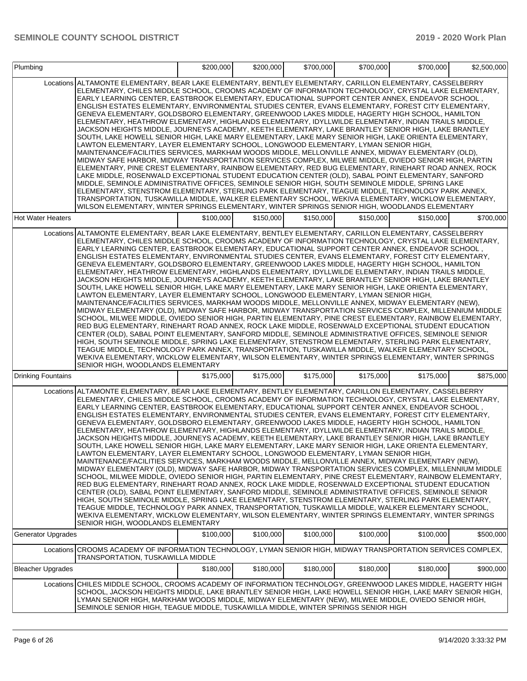| Plumbing                  |                                                                                                                                                                                                                                                                                                                                                                                                                                                                                                                                                                                                                                                                                                                                                                                                                                                                                                                                                                                                                                                                                                                                                                                                                                                                                                                                                                                                                                                                                                                                                                                                                                                                                                                                                                                                                                                     | \$200,000 | \$200,000 | \$700,000 | \$700,000 | \$700,000 | \$2,500,000 |
|---------------------------|-----------------------------------------------------------------------------------------------------------------------------------------------------------------------------------------------------------------------------------------------------------------------------------------------------------------------------------------------------------------------------------------------------------------------------------------------------------------------------------------------------------------------------------------------------------------------------------------------------------------------------------------------------------------------------------------------------------------------------------------------------------------------------------------------------------------------------------------------------------------------------------------------------------------------------------------------------------------------------------------------------------------------------------------------------------------------------------------------------------------------------------------------------------------------------------------------------------------------------------------------------------------------------------------------------------------------------------------------------------------------------------------------------------------------------------------------------------------------------------------------------------------------------------------------------------------------------------------------------------------------------------------------------------------------------------------------------------------------------------------------------------------------------------------------------------------------------------------------------|-----------|-----------|-----------|-----------|-----------|-------------|
|                           | Locations ALTAMONTE ELEMENTARY, BEAR LAKE ELEMENTARY, BENTLEY ELEMENTARY, CARILLON ELEMENTARY, CASSELBERRY<br>ELEMENTARY, CHILES MIDDLE SCHOOL, CROOMS ACADEMY OF INFORMATION TECHNOLOGY, CRYSTAL LAKE ELEMENTARY.<br>EARLY LEARNING CENTER, EASTBROOK ELEMENTARY, EDUCATIONAL SUPPORT CENTER ANNEX, ENDEAVOR SCHOOL,<br>ENGLISH ESTATES ELEMENTARY, ENVIRONMENTAL STUDIES CENTER, EVANS ELEMENTARY, FOREST CITY ELEMENTARY,<br>GENEVA ELEMENTARY, GOLDSBORO ELEMENTARY, GREENWOOD LAKES MIDDLE, HAGERTY HIGH SCHOOL, HAMILTON<br>ELEMENTARY, HEATHROW ELEMENTARY, HIGHLANDS ELEMENTARY, IDYLLWILDE ELEMENTARY, INDIAN TRAILS MIDDLE,<br>JACKSON HEIGHTS MIDDLE, JOURNEYS ACADEMY, KEETH ELEMENTARY, LAKE BRANTLEY SENIOR HIGH, LAKE BRANTLEY<br>SOUTH, LAKE HOWELL SENIOR HIGH, LAKE MARY ELEMENTARY, LAKE MARY SENIOR HIGH, LAKE ORIENTA ELEMENTARY,<br>LAWTON ELEMENTARY, LAYER ELEMENTARY SCHOOL, LONGWOOD ELEMENTARY, LYMAN SENIOR HIGH,<br>MAINTENANCE/FACILITIES SERVICES, MARKHAM WOODS MIDDLE, MELLONVILLE ANNEX, MIDWAY ELEMENTARY (OLD),<br>MIDWAY SAFE HARBOR, MIDWAY TRANSPORTATION SERVICES COMPLEX, MILWEE MIDDLE, OVIEDO SENIOR HIGH, PARTIN<br>ELEMENTARY, PINE CREST ELEMENTARY, RAINBOW ELEMENTARY, RED BUG ELEMENTARY, RINEHART ROAD ANNEX, ROCK<br>LAKE MIDDLE, ROSENWALD EXCEPTIONAL STUDENT EDUCATION CENTER (OLD), SABAL POINT ELEMENTARY, SANFORD<br>MIDDLE, SEMINOLE ADMINISTRATIVE OFFICES, SEMINOLE SENIOR HIGH, SOUTH SEMINOLE MIDDLE, SPRING LAKE<br>ELEMENTARY, STENSTROM ELEMENTARY, STERLING PARK ELEMENTARY, TEAGUE MIDDLE, TECHNOLOGY PARK ANNEX,<br>TRANSPORTATION, TUSKAWILLA MIDDLE, WALKER ELEMENTARY SCHOOL, WEKIVA ELEMENTARY, WICKLOW ELEMENTARY,<br>WILSON ELEMENTARY, WINTER SPRINGS ELEMENTARY, WINTER SPRINGS SENIOR HIGH, WOODLANDS ELEMENTARY                                                       |           |           |           |           |           |             |
| <b>Hot Water Heaters</b>  |                                                                                                                                                                                                                                                                                                                                                                                                                                                                                                                                                                                                                                                                                                                                                                                                                                                                                                                                                                                                                                                                                                                                                                                                                                                                                                                                                                                                                                                                                                                                                                                                                                                                                                                                                                                                                                                     | \$100,000 | \$150,000 | \$150,000 | \$150,000 | \$150,000 | \$700,000   |
|                           | Locations ALTAMONTE ELEMENTARY, BEAR LAKE ELEMENTARY, BENTLEY ELEMENTARY, CARILLON ELEMENTARY, CASSELBERRY<br>ELEMENTARY, CHILES MIDDLE SCHOOL, CROOMS ACADEMY OF INFORMATION TECHNOLOGY, CRYSTAL LAKE ELEMENTARY,<br>EARLY LEARNING CENTER, EASTBROOK ELEMENTARY, EDUCATIONAL SUPPORT CENTER ANNEX, ENDEAVOR SCHOOL,<br>ENGLISH ESTATES ELEMENTARY, ENVIRONMENTAL STUDIES CENTER, EVANS ELEMENTARY, FOREST CITY ELEMENTARY,<br>GENEVA ELEMENTARY, GOLDSBORO ELEMENTARY, GREENWOOD LAKES MIDDLE, HAGERTY HIGH SCHOOL, HAMILTON<br>ELEMENTARY, HEATHROW ELEMENTARY, HIGHLANDS ELEMENTARY, IDYLLWILDE ELEMENTARY, INDIAN TRAILS MIDDLE,<br>JACKSON HEIGHTS MIDDLE, JOURNEYS ACADEMY, KEETH ELEMENTARY, LAKE BRANTLEY SENIOR HIGH, LAKE BRANTLEY<br>SOUTH. LAKE HOWELL SENIOR HIGH. LAKE MARY ELEMENTARY. LAKE MARY SENIOR HIGH. LAKE ORIENTA ELEMENTARY.<br>LAWTON ELEMENTARY, LAYER ELEMENTARY SCHOOL, LONGWOOD ELEMENTARY, LYMAN SENIOR HIGH.<br>MAINTENANCE/FACILITIES SERVICES, MARKHAM WOODS MIDDLE, MELLONVILLE ANNEX, MIDWAY ELEMENTARY (NEW),<br>MIDWAY ELEMENTARY (OLD), MIDWAY SAFE HARBOR, MIDWAY TRANSPORTATION SERVICES COMPLEX, MILLENNIUM MIDDLE<br>SCHOOL, MILWEE MIDDLE, OVIEDO SENIOR HIGH, PARTIN ELEMENTARY, PINE CREST ELEMENTARY, RAINBOW ELEMENTARY,<br>RED BUG ELEMENTARY, RINEHART ROAD ANNEX, ROCK LAKE MIDDLE, ROSENWALD EXCEPTIONAL STUDENT EDUCATION<br>CENTER (OLD), SABAL POINT ELEMENTARY, SANFORD MIDDLE, SEMINOLE ADMINISTRATIVE OFFICES, SEMINOLE SENIOR<br>HIGH, SOUTH SEMINOLE MIDDLE, SPRING LAKE ELEMENTARY, STENSTROM ELEMENTARY, STERLING PARK ELEMENTARY,<br>TEAGUE MIDDLE, TECHNOLOGY PARK ANNEX, TRANSPORTATION, TUSKAWILLA MIDDLE, WALKER ELEMENTARY SCHOOL,<br>WEKIVA ELEMENTARY, WICKLOW ELEMENTARY, WILSON ELEMENTARY, WINTER SPRINGS ELEMENTARY, WINTER SPRINGS<br>SENIOR HIGH, WOODLANDS ELEMENTARY |           |           |           |           |           |             |
| <b>Drinking Fountains</b> |                                                                                                                                                                                                                                                                                                                                                                                                                                                                                                                                                                                                                                                                                                                                                                                                                                                                                                                                                                                                                                                                                                                                                                                                                                                                                                                                                                                                                                                                                                                                                                                                                                                                                                                                                                                                                                                     | \$175,000 | \$175,000 | \$175,000 | \$175,000 | \$175,000 | \$875,000   |
|                           | Locations ALTAMONTE ELEMENTARY, BEAR LAKE ELEMENTARY, BENTLEY ELEMENTARY, CARILLON ELEMENTARY, CASSELBERRY<br>ELEMENTARY, CHILES MIDDLE SCHOOL, CROOMS ACADEMY OF INFORMATION TECHNOLOGY, CRYSTAL LAKE ELEMENTARY,<br>EARLY LEARNING CENTER, EASTBROOK ELEMENTARY, EDUCATIONAL SUPPORT CENTER ANNEX, ENDEAVOR SCHOOL,<br>ENGLISH ESTATES ELEMENTARY, ENVIRONMENTAL STUDIES CENTER, EVANS ELEMENTARY, FOREST CITY ELEMENTARY,<br>GENEVA ELEMENTARY, GOLDSBORO ELEMENTARY, GREENWOOD LAKES MIDDLE, HAGERTY HIGH SCHOOL, HAMILTON<br>ELEMENTARY, HEATHROW ELEMENTARY, HIGHLANDS ELEMENTARY, IDYLLWILDE ELEMENTARY, INDIAN TRAILS MIDDLE,<br>JACKSON HEIGHTS MIDDLE, JOURNEYS ACADEMY, KEETH ELEMENTARY, LAKE BRANTLEY SENIOR HIGH, LAKE BRANTLEY<br>SOUTH, LAKE HOWELL SENIOR HIGH, LAKE MARY ELEMENTARY, LAKE MARY SENIOR HIGH, LAKE ORIENTA ELEMENTARY,<br>LAWTON ELEMENTARY, LAYER ELEMENTARY SCHOOL, LONGWOOD ELEMENTARY, LYMAN SENIOR HIGH,<br>MAINTENANCE/FACILITIES SERVICES, MARKHAM WOODS MIDDLE, MELLONVILLE ANNEX, MIDWAY ELEMENTARY (NEW),<br>MIDWAY ELEMENTARY (OLD), MIDWAY SAFE HARBOR, MIDWAY TRANSPORTATION SERVICES COMPLEX, MILLENNIUM MIDDLE<br>SCHOOL, MILWEE MIDDLE, OVIEDO SENIOR HIGH, PARTIN ELEMENTARY, PINE CREST ELEMENTARY, RAINBOW ELEMENTARY,<br>RED BUG ELEMENTARY, RINEHART ROAD ANNEX, ROCK LAKE MIDDLE, ROSENWALD EXCEPTIONAL STUDENT EDUCATION<br>CENTER (OLD), SABAL POINT ELEMENTARY, SANFORD MIDDLE, SEMINOLE ADMINISTRATIVE OFFICES, SEMINOLE SENIOR<br>HIGH, SOUTH SEMINOLE MIDDLE, SPRING LAKE ELEMENTARY, STENSTROM ELEMENTARY, STERLING PARK ELEMENTARY,<br>TEAGUE MIDDLE, TECHNOLOGY PARK ANNEX, TRANSPORTATION, TUSKAWILLA MIDDLE, WALKER ELEMENTARY SCHOOL,<br>WEKIVA ELEMENTARY, WICKLOW ELEMENTARY, WILSON ELEMENTARY, WINTER SPRINGS ELEMENTARY, WINTER SPRINGS<br>SENIOR HIGH, WOODLANDS ELEMENTARY |           |           |           |           |           |             |
| <b>Generator Upgrades</b> |                                                                                                                                                                                                                                                                                                                                                                                                                                                                                                                                                                                                                                                                                                                                                                                                                                                                                                                                                                                                                                                                                                                                                                                                                                                                                                                                                                                                                                                                                                                                                                                                                                                                                                                                                                                                                                                     | \$100,000 | \$100,000 | \$100,000 | \$100,000 | \$100,000 | \$500,000   |
|                           | Locations CROOMS ACADEMY OF INFORMATION TECHNOLOGY, LYMAN SENIOR HIGH, MIDWAY TRANSPORTATION SERVICES COMPLEX,<br><b>TRANSPORTATION. TUSKAWILLA MIDDLE</b>                                                                                                                                                                                                                                                                                                                                                                                                                                                                                                                                                                                                                                                                                                                                                                                                                                                                                                                                                                                                                                                                                                                                                                                                                                                                                                                                                                                                                                                                                                                                                                                                                                                                                          |           |           |           |           |           |             |
| <b>Bleacher Upgrades</b>  |                                                                                                                                                                                                                                                                                                                                                                                                                                                                                                                                                                                                                                                                                                                                                                                                                                                                                                                                                                                                                                                                                                                                                                                                                                                                                                                                                                                                                                                                                                                                                                                                                                                                                                                                                                                                                                                     | \$180,000 | \$180,000 | \$180,000 | \$180,000 | \$180,000 | \$900,000   |
|                           | Locations CHILES MIDDLE SCHOOL, CROOMS ACADEMY OF INFORMATION TECHNOLOGY, GREENWOOD LAKES MIDDLE, HAGERTY HIGH<br>SCHOOL, JACKSON HEIGHTS MIDDLE, LAKE BRANTLEY SENIOR HIGH, LAKE HOWELL SENIOR HIGH, LAKE MARY SENIOR HIGH,<br>LYMAN SENIOR HIGH, MARKHAM WOODS MIDDLE, MIDWAY ELEMENTARY (NEW), MILWEE MIDDLE, OVIEDO SENIOR HIGH,<br>SEMINOLE SENIOR HIGH, TEAGUE MIDDLE, TUSKAWILLA MIDDLE, WINTER SPRINGS SENIOR HIGH                                                                                                                                                                                                                                                                                                                                                                                                                                                                                                                                                                                                                                                                                                                                                                                                                                                                                                                                                                                                                                                                                                                                                                                                                                                                                                                                                                                                                          |           |           |           |           |           |             |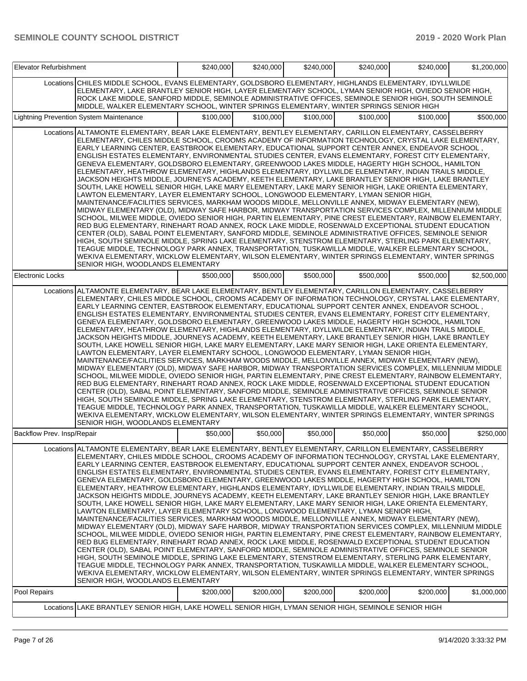| Elevator Refurbishment     |                                                                                                                                                                                                                                                                                                                                                                                                                                                                                                                                                                                                                                                                                                                                                                                                                                                                                                                                                                                                                                                                                                                                                                                                                                                                                                                                                                                                                                                                                                                                                                                                                                                                                                                                                                                                                                                              | \$240,000 | \$240,000 | \$240,000 | \$240,000 | \$240,000 | \$1,200,000 |
|----------------------------|--------------------------------------------------------------------------------------------------------------------------------------------------------------------------------------------------------------------------------------------------------------------------------------------------------------------------------------------------------------------------------------------------------------------------------------------------------------------------------------------------------------------------------------------------------------------------------------------------------------------------------------------------------------------------------------------------------------------------------------------------------------------------------------------------------------------------------------------------------------------------------------------------------------------------------------------------------------------------------------------------------------------------------------------------------------------------------------------------------------------------------------------------------------------------------------------------------------------------------------------------------------------------------------------------------------------------------------------------------------------------------------------------------------------------------------------------------------------------------------------------------------------------------------------------------------------------------------------------------------------------------------------------------------------------------------------------------------------------------------------------------------------------------------------------------------------------------------------------------------|-----------|-----------|-----------|-----------|-----------|-------------|
|                            | Locations CHILES MIDDLE SCHOOL, EVANS ELEMENTARY, GOLDSBORO ELEMENTARY, HIGHLANDS ELEMENTARY, IDYLLWILDE<br>ELEMENTARY, LAKE BRANTLEY SENIOR HIGH, LAYER ELEMENTARY SCHOOL, LYMAN SENIOR HIGH, OVIEDO SENIOR HIGH,<br>ROCK LAKE MIDDLE, SANFORD MIDDLE, SEMINOLE ADMINISTRATIVE OFFICES, SEMINOLE SENIOR HIGH, SOUTH SEMINOLE<br>MIDDLE, WALKER ELEMENTARY SCHOOL, WINTER SPRINGS ELEMENTARY, WINTER SPRINGS SENIOR HIGH                                                                                                                                                                                                                                                                                                                                                                                                                                                                                                                                                                                                                                                                                                                                                                                                                                                                                                                                                                                                                                                                                                                                                                                                                                                                                                                                                                                                                                     |           |           |           |           |           |             |
|                            | Lightning Prevention System Maintenance                                                                                                                                                                                                                                                                                                                                                                                                                                                                                                                                                                                                                                                                                                                                                                                                                                                                                                                                                                                                                                                                                                                                                                                                                                                                                                                                                                                                                                                                                                                                                                                                                                                                                                                                                                                                                      | \$100,000 | \$100,000 | \$100,000 | \$100,000 | \$100,000 | \$500,000   |
|                            | Locations ALTAMONTE ELEMENTARY, BEAR LAKE ELEMENTARY, BENTLEY ELEMENTARY, CARILLON ELEMENTARY, CASSELBERRY<br>ELEMENTARY, CHILES MIDDLE SCHOOL, CROOMS ACADEMY OF INFORMATION TECHNOLOGY, CRYSTAL LAKE ELEMENTARY,<br>EARLY LEARNING CENTER, EASTBROOK ELEMENTARY, EDUCATIONAL SUPPORT CENTER ANNEX, ENDEAVOR SCHOOL,<br>ENGLISH ESTATES ELEMENTARY, ENVIRONMENTAL STUDIES CENTER, EVANS ELEMENTARY, FOREST CITY ELEMENTARY,<br>GENEVA ELEMENTARY, GOLDSBORO ELEMENTARY, GREENWOOD LAKES MIDDLE, HAGERTY HIGH SCHOOL, HAMILTON<br>ELEMENTARY, HEATHROW ELEMENTARY, HIGHLANDS ELEMENTARY, IDYLLWILDE ELEMENTARY, INDIAN TRAILS MIDDLE,<br>JACKSON HEIGHTS MIDDLE, JOURNEYS ACADEMY, KEETH ELEMENTARY, LAKE BRANTLEY SENIOR HIGH, LAKE BRANTLEY<br>SOUTH, LAKE HOWELL SENIOR HIGH, LAKE MARY ELEMENTARY, LAKE MARY SENIOR HIGH, LAKE ORIENTA ELEMENTARY,<br>LAWTON ELEMENTARY, LAYER ELEMENTARY SCHOOL, LONGWOOD ELEMENTARY, LYMAN SENIOR HIGH,<br>MAINTENANCE/FACILITIES SERVICES, MARKHAM WOODS MIDDLE, MELLONVILLE ANNEX, MIDWAY ELEMENTARY (NEW),<br>MIDWAY ELEMENTARY (OLD), MIDWAY SAFE HARBOR, MIDWAY TRANSPORTATION SERVICES COMPLEX, MILLENNIUM MIDDLE<br>SCHOOL, MILWEE MIDDLE, OVIEDO SENIOR HIGH, PARTIN ELEMENTARY, PINE CREST ELEMENTARY, RAINBOW ELEMENTARY,<br>RED BUG ELEMENTARY, RINEHART ROAD ANNEX, ROCK LAKE MIDDLE, ROSENWALD EXCEPTIONAL STUDENT EDUCATION<br>CENTER (OLD), SABAL POINT ELEMENTARY, SANFORD MIDDLE, SEMINOLE ADMINISTRATIVE OFFICES, SEMINOLE SENIOR<br>HIGH, SOUTH SEMINOLE MIDDLE, SPRING LAKE ELEMENTARY, STENSTROM ELEMENTARY, STERLING PARK ELEMENTARY,<br>TEAGUE MIDDLE, TECHNOLOGY PARK ANNEX, TRANSPORTATION, TUSKAWILLA MIDDLE, WALKER ELEMENTARY SCHOOL,<br>WEKIVA ELEMENTARY, WICKLOW ELEMENTARY, WILSON ELEMENTARY, WINTER SPRINGS ELEMENTARY, WINTER SPRINGS<br>SENIOR HIGH, WOODLANDS ELEMENTARY          |           |           |           |           |           |             |
| <b>Electronic Locks</b>    |                                                                                                                                                                                                                                                                                                                                                                                                                                                                                                                                                                                                                                                                                                                                                                                                                                                                                                                                                                                                                                                                                                                                                                                                                                                                                                                                                                                                                                                                                                                                                                                                                                                                                                                                                                                                                                                              | \$500,000 | \$500,000 | \$500,000 | \$500,000 | \$500,000 | \$2,500,000 |
|                            | Locations ALTAMONTE ELEMENTARY, BEAR LAKE ELEMENTARY, BENTLEY ELEMENTARY, CARILLON ELEMENTARY, CASSELBERRY<br>ELEMENTARY, CHILES MIDDLE SCHOOL, CROOMS ACADEMY OF INFORMATION TECHNOLOGY, CRYSTAL LAKE ELEMENTARY,<br>EARLY LEARNING CENTER, EASTBROOK ELEMENTARY, EDUCATIONAL SUPPORT CENTER ANNEX, ENDEAVOR SCHOOL,<br>ENGLISH ESTATES ELEMENTARY, ENVIRONMENTAL STUDIES CENTER, EVANS ELEMENTARY, FOREST CITY ELEMENTARY,<br>GENEVA ELEMENTARY, GOLDSBORO ELEMENTARY, GREENWOOD LAKES MIDDLE, HAGERTY HIGH SCHOOL, HAMILTON<br>ELEMENTARY, HEATHROW ELEMENTARY, HIGHLANDS ELEMENTARY, IDYLLWILDE ELEMENTARY, INDIAN TRAILS MIDDLE,<br>JACKSON HEIGHTS MIDDLE, JOURNEYS ACADEMY, KEETH ELEMENTARY, LAKE BRANTLEY SENIOR HIGH, LAKE BRANTLEY<br>SOUTH, LAKE HOWELL SENIOR HIGH, LAKE MARY ELEMENTARY, LAKE MARY SENIOR HIGH, LAKE ORIENTA ELEMENTARY,<br>LAWTON ELEMENTARY, LAYER ELEMENTARY SCHOOL, LONGWOOD ELEMENTARY, LYMAN SENIOR HIGH,<br>MAINTENANCE/FACILITIES SERVICES, MARKHAM WOODS MIDDLE, MELLONVILLE ANNEX, MIDWAY ELEMENTARY (NEW),<br>MIDWAY ELEMENTARY (OLD), MIDWAY SAFE HARBOR, MIDWAY TRANSPORTATION SERVICES COMPLEX, MILLENNIUM MIDDLE<br>SCHOOL, MILWEE MIDDLE, OVIEDO SENIOR HIGH, PARTIN ELEMENTARY, PINE CREST ELEMENTARY, RAINBOW ELEMENTARY,<br>RED BUG ELEMENTARY, RINEHART ROAD ANNEX, ROCK LAKE MIDDLE, ROSENWALD EXCEPTIONAL STUDENT EDUCATION<br>CENTER (OLD), SABAL POINT ELEMENTARY, SANFORD MIDDLE, SEMINOLE ADMINISTRATIVE OFFICES, SEMINOLE SENIOR<br>HIGH, SOUTH SEMINOLE MIDDLE, SPRING LAKE ELEMENTARY, STENSTROM ELEMENTARY, STERLING PARK ELEMENTARY,<br>TEAGUE MIDDLE, TECHNOLOGY PARK ANNEX, TRANSPORTATION, TUSKAWILLA MIDDLE, WALKER ELEMENTARY SCHOOL,<br>WEKIVA ELEMENTARY, WICKLOW ELEMENTARY, WILSON ELEMENTARY, WINTER SPRINGS ELEMENTARY, WINTER SPRINGS<br><b>I</b> SENIOR HIGH. WOODLANDS ELEMENTARY |           |           |           |           |           |             |
| Backflow Prev. Insp/Repair |                                                                                                                                                                                                                                                                                                                                                                                                                                                                                                                                                                                                                                                                                                                                                                                                                                                                                                                                                                                                                                                                                                                                                                                                                                                                                                                                                                                                                                                                                                                                                                                                                                                                                                                                                                                                                                                              | \$50,000  | \$50,000  | \$50,000  | \$50,000  | \$50,000  | \$250,000   |
|                            | Locations ALTAMONTE ELEMENTARY, BEAR LAKE ELEMENTARY, BENTLEY ELEMENTARY, CARILLON ELEMENTARY, CASSELBERRY<br>ELEMENTARY, CHILES MIDDLE SCHOOL, CROOMS ACADEMY OF INFORMATION TECHNOLOGY, CRYSTAL LAKE ELEMENTARY,<br>, EARLY LEARNING CENTER, EASTBROOK ELEMENTARY, EDUCATIONAL SUPPORT CENTER ANNEX, ENDEAVOR SCHOOL <br>ENGLISH ESTATES ELEMENTARY, ENVIRONMENTAL STUDIES CENTER, EVANS ELEMENTARY, FOREST CITY ELEMENTARY,<br>GENEVA ELEMENTARY, GOLDSBORO ELEMENTARY, GREENWOOD LAKES MIDDLE, HAGERTY HIGH SCHOOL, HAMILTON<br>ELEMENTARY, HEATHROW ELEMENTARY, HIGHLANDS ELEMENTARY, IDYLLWILDE ELEMENTARY, INDIAN TRAILS MIDDLE,<br>JACKSON HEIGHTS MIDDLE, JOURNEYS ACADEMY, KEETH ELEMENTARY, LAKE BRANTLEY SENIOR HIGH, LAKE BRANTLEY<br>SOUTH, LAKE HOWELL SENIOR HIGH, LAKE MARY ELEMENTARY, LAKE MARY SENIOR HIGH, LAKE ORIENTA ELEMENTARY,<br>LAWTON ELEMENTARY, LAYER ELEMENTARY SCHOOL, LONGWOOD ELEMENTARY, LYMAN SENIOR HIGH,<br>MAINTENANCE/FACILITIES SERVICES, MARKHAM WOODS MIDDLE, MELLONVILLE ANNEX, MIDWAY ELEMENTARY (NEW),<br>MIDWAY ELEMENTARY (OLD), MIDWAY SAFE HARBOR, MIDWAY TRANSPORTATION SERVICES COMPLEX, MILLENNIUM MIDDLE<br>SCHOOL, MILWEE MIDDLE, OVIEDO SENIOR HIGH, PARTIN ELEMENTARY, PINE CREST ELEMENTARY, RAINBOW ELEMENTARY,<br>RED BUG ELEMENTARY, RINEHART ROAD ANNEX, ROCK LAKE MIDDLE, ROSENWALD EXCEPTIONAL STUDENT EDUCATION<br>CENTER (OLD), SABAL POINT ELEMENTARY, SANFORD MIDDLE, SEMINOLE ADMINISTRATIVE OFFICES, SEMINOLE SENIOR<br>HIGH. SOUTH SEMINOLE MIDDLE. SPRING LAKE ELEMENTARY. STENSTROM ELEMENTARY. STERLING PARK ELEMENTARY.<br>TEAGUE MIDDLE, TECHNOLOGY PARK ANNEX, TRANSPORTATION, TUSKAWILLA MIDDLE, WALKER ELEMENTARY SCHOOL,<br>WEKIVA ELEMENTARY, WICKLOW ELEMENTARY, WILSON ELEMENTARY, WINTER SPRINGS ELEMENTARY, WINTER SPRINGS<br>SENIOR HIGH, WOODLANDS ELEMENTARY        |           |           |           |           |           |             |
| Pool Repairs               |                                                                                                                                                                                                                                                                                                                                                                                                                                                                                                                                                                                                                                                                                                                                                                                                                                                                                                                                                                                                                                                                                                                                                                                                                                                                                                                                                                                                                                                                                                                                                                                                                                                                                                                                                                                                                                                              | \$200,000 | \$200,000 | \$200,000 | \$200,000 | \$200,000 | \$1,000,000 |
|                            | Locations LAKE BRANTLEY SENIOR HIGH, LAKE HOWELL SENIOR HIGH, LYMAN SENIOR HIGH, SEMINOLE SENIOR HIGH                                                                                                                                                                                                                                                                                                                                                                                                                                                                                                                                                                                                                                                                                                                                                                                                                                                                                                                                                                                                                                                                                                                                                                                                                                                                                                                                                                                                                                                                                                                                                                                                                                                                                                                                                        |           |           |           |           |           |             |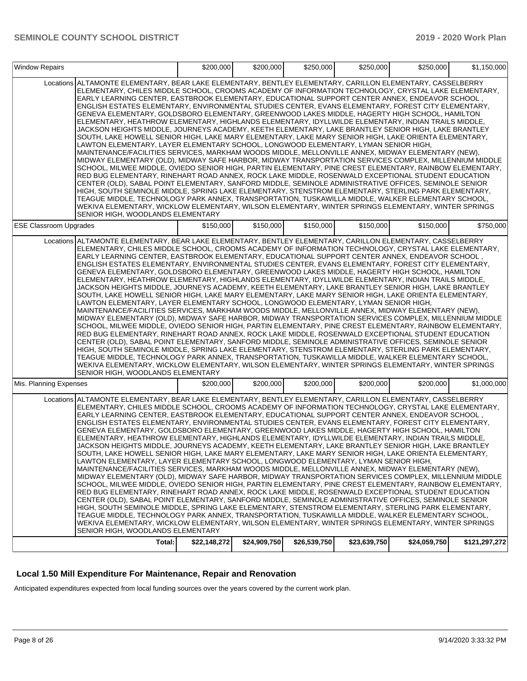| <b>Window Repairs</b>         |                                                                                                                                                                                                                                                                                                                                                                                                                                                                                                                                                                                                                                                                                                                                                                                                                                                                                                                                                                                                                                                                                                                                                                                                                                                                                                                                                                                                                                                                                                                                                                                                                                                                                                                                                                                                                                                     | \$200,000    | \$200,000    | \$250,000    | \$250,000    | \$250.000    | \$1,150,000   |
|-------------------------------|-----------------------------------------------------------------------------------------------------------------------------------------------------------------------------------------------------------------------------------------------------------------------------------------------------------------------------------------------------------------------------------------------------------------------------------------------------------------------------------------------------------------------------------------------------------------------------------------------------------------------------------------------------------------------------------------------------------------------------------------------------------------------------------------------------------------------------------------------------------------------------------------------------------------------------------------------------------------------------------------------------------------------------------------------------------------------------------------------------------------------------------------------------------------------------------------------------------------------------------------------------------------------------------------------------------------------------------------------------------------------------------------------------------------------------------------------------------------------------------------------------------------------------------------------------------------------------------------------------------------------------------------------------------------------------------------------------------------------------------------------------------------------------------------------------------------------------------------------------|--------------|--------------|--------------|--------------|--------------|---------------|
|                               | Locations ALTAMONTE ELEMENTARY, BEAR LAKE ELEMENTARY, BENTLEY ELEMENTARY, CARILLON ELEMENTARY, CASSELBERRY<br>ELEMENTARY, CHILES MIDDLE SCHOOL, CROOMS ACADEMY OF INFORMATION TECHNOLOGY, CRYSTAL LAKE ELEMENTARY,<br>EARLY LEARNING CENTER, EASTBROOK ELEMENTARY, EDUCATIONAL SUPPORT CENTER ANNEX, ENDEAVOR SCHOOL,<br>ENGLISH ESTATES ELEMENTARY, ENVIRONMENTAL STUDIES CENTER, EVANS ELEMENTARY, FOREST CITY ELEMENTARY,<br>GENEVA ELEMENTARY, GOLDSBORO ELEMENTARY, GREENWOOD LAKES MIDDLE, HAGERTY HIGH SCHOOL, HAMILTON<br>ELEMENTARY, HEATHROW ELEMENTARY, HIGHLANDS ELEMENTARY, IDYLLWILDE ELEMENTARY, INDIAN TRAILS MIDDLE,<br>JACKSON HEIGHTS MIDDLE, JOURNEYS ACADEMY, KEETH ELEMENTARY, LAKE BRANTLEY SENIOR HIGH, LAKE BRANTLEY<br>SOUTH, LAKE HOWELL SENIOR HIGH, LAKE MARY ELEMENTARY, LAKE MARY SENIOR HIGH, LAKE ORIENTA ELEMENTARY,<br>LAWTON ELEMENTARY, LAYER ELEMENTARY SCHOOL, LONGWOOD ELEMENTARY, LYMAN SENIOR HIGH,<br>MAINTENANCE/FACILITIES SERVICES. MARKHAM WOODS MIDDLE. MELLONVILLE ANNEX. MIDWAY ELEMENTARY (NEW).<br>MIDWAY ELEMENTARY (OLD), MIDWAY SAFE HARBOR, MIDWAY TRANSPORTATION SERVICES COMPLEX, MILLENNIUM MIDDLE<br>SCHOOL, MILWEE MIDDLE, OVIEDO SENIOR HIGH, PARTIN ELEMENTARY, PINE CREST ELEMENTARY, RAINBOW ELEMENTARY,<br>RED BUG ELEMENTARY, RINEHART ROAD ANNEX, ROCK LAKE MIDDLE, ROSENWALD EXCEPTIONAL STUDENT EDUCATION<br>CENTER (OLD), SABAL POINT ELEMENTARY, SANFORD MIDDLE, SEMINOLE ADMINISTRATIVE OFFICES, SEMINOLE SENIOR<br>HIGH, SOUTH SEMINOLE MIDDLE, SPRING LAKE ELEMENTARY, STENSTROM ELEMENTARY, STERLING PARK ELEMENTARY,<br>TEAGUE MIDDLE, TECHNOLOGY PARK ANNEX, TRANSPORTATION, TUSKAWILLA MIDDLE, WALKER ELEMENTARY SCHOOL,<br>WEKIVA ELEMENTARY, WICKLOW ELEMENTARY, WILSON ELEMENTARY, WINTER SPRINGS ELEMENTARY, WINTER SPRINGS<br>SENIOR HIGH, WOODLANDS ELEMENTARY |              |              |              |              |              |               |
| <b>ESE Classroom Upgrades</b> |                                                                                                                                                                                                                                                                                                                                                                                                                                                                                                                                                                                                                                                                                                                                                                                                                                                                                                                                                                                                                                                                                                                                                                                                                                                                                                                                                                                                                                                                                                                                                                                                                                                                                                                                                                                                                                                     | \$150,000    | \$150,000    | \$150,000    | \$150,000    | \$150,000    | \$750,000     |
|                               | Locations ALTAMONTE ELEMENTARY, BEAR LAKE ELEMENTARY, BENTLEY ELEMENTARY, CARILLON ELEMENTARY, CASSELBERRY<br>ELEMENTARY, CHILES MIDDLE SCHOOL, CROOMS ACADEMY OF INFORMATION TECHNOLOGY, CRYSTAL LAKE ELEMENTARY.<br>EARLY LEARNING CENTER, EASTBROOK ELEMENTARY, EDUCATIONAL SUPPORT CENTER ANNEX, ENDEAVOR SCHOOL,<br>ENGLISH ESTATES ELEMENTARY, ENVIRONMENTAL STUDIES CENTER, EVANS ELEMENTARY, FOREST CITY ELEMENTARY,<br>GENEVA ELEMENTARY, GOLDSBORO ELEMENTARY, GREENWOOD LAKES MIDDLE, HAGERTY HIGH SCHOOL, HAMILTON<br>ELEMENTARY, HEATHROW ELEMENTARY, HIGHLANDS ELEMENTARY, IDYLLWILDE ELEMENTARY, INDIAN TRAILS MIDDLE,<br>JACKSON HEIGHTS MIDDLE, JOURNEYS ACADEMY, KEETH ELEMENTARY, LAKE BRANTLEY SENIOR HIGH, LAKE BRANTLEY<br>SOUTH, LAKE HOWELL SENIOR HIGH, LAKE MARY ELEMENTARY, LAKE MARY SENIOR HIGH, LAKE ORIENTA ELEMENTARY,<br>LAWTON ELEMENTARY, LAYER ELEMENTARY SCHOOL, LONGWOOD ELEMENTARY, LYMAN SENIOR HIGH,<br>MAINTENANCE/FACILITIES SERVICES, MARKHAM WOODS MIDDLE, MELLONVILLE ANNEX, MIDWAY ELEMENTARY (NEW),<br>MIDWAY ELEMENTARY (OLD), MIDWAY SAFE HARBOR, MIDWAY TRANSPORTATION SERVICES COMPLEX, MILLENNIUM MIDDLE<br>SCHOOL, MILWEE MIDDLE, OVIEDO SENIOR HIGH, PARTIN ELEMENTARY, PINE CREST ELEMENTARY, RAINBOW ELEMENTARY,<br>RED BUG ELEMENTARY, RINEHART ROAD ANNEX, ROCK LAKE MIDDLE, ROSENWALD EXCEPTIONAL STUDENT EDUCATION<br>CENTER (OLD), SABAL POINT ELEMENTARY, SANFORD MIDDLE, SEMINOLE ADMINISTRATIVE OFFICES, SEMINOLE SENIOR<br>HIGH, SOUTH SEMINOLE MIDDLE, SPRING LAKE ELEMENTARY, STENSTROM ELEMENTARY, STERLING PARK ELEMENTARY,<br>TEAGUE MIDDLE, TECHNOLOGY PARK ANNEX, TRANSPORTATION, TUSKAWILLA MIDDLE, WALKER ELEMENTARY SCHOOL,<br>WEKIVA ELEMENTARY, WICKLOW ELEMENTARY, WILSON ELEMENTARY, WINTER SPRINGS ELEMENTARY, WINTER SPRINGS<br>SENIOR HIGH, WOODLANDS ELEMENTARY |              |              |              |              |              |               |
| Mis. Planning Expenses        |                                                                                                                                                                                                                                                                                                                                                                                                                                                                                                                                                                                                                                                                                                                                                                                                                                                                                                                                                                                                                                                                                                                                                                                                                                                                                                                                                                                                                                                                                                                                                                                                                                                                                                                                                                                                                                                     | \$200,000    | \$200,000    | \$200,000    | \$200,000    | \$200,000    | \$1,000,000   |
|                               | Locations ALTAMONTE ELEMENTARY, BEAR LAKE ELEMENTARY, BENTLEY ELEMENTARY, CARILLON ELEMENTARY, CASSELBERRY<br>ELEMENTARY, CHILES MIDDLE SCHOOL, CROOMS ACADEMY OF INFORMATION TECHNOLOGY, CRYSTAL LAKE ELEMENTARY,<br>EARLY LEARNING CENTER, EASTBROOK ELEMENTARY, EDUCATIONAL SUPPORT CENTER ANNEX, ENDEAVOR SCHOOL,<br>ENGLISH ESTATES ELEMENTARY, ENVIRONMENTAL STUDIES CENTER, EVANS ELEMENTARY, FOREST CITY ELEMENTARY,<br>GENEVA ELEMENTARY, GOLDSBORO ELEMENTARY, GREENWOOD LAKES MIDDLE, HAGERTY HIGH SCHOOL, HAMILTON<br>ELEMENTARY, HEATHROW ELEMENTARY, HIGHLANDS ELEMENTARY, IDYLLWILDE ELEMENTARY, INDIAN TRAILS MIDDLE,<br>JACKSON HEIGHTS MIDDLE, JOURNEYS ACADEMY, KEETH ELEMENTARY, LAKE BRANTLEY SENIOR HIGH, LAKE BRANTLEY<br>SOUTH, LAKE HOWELL SENIOR HIGH, LAKE MARY ELEMENTARY, LAKE MARY SENIOR HIGH, LAKE ORIENTA ELEMENTARY,<br>LAWTON ELEMENTARY, LAYER ELEMENTARY SCHOOL, LONGWOOD ELEMENTARY, LYMAN SENIOR HIGH,<br>MAINTENANCE/FACILITIES SERVICES, MARKHAM WOODS MIDDLE, MELLONVILLE ANNEX, MIDWAY ELEMENTARY (NEW),<br>MIDWAY ELEMENTARY (OLD), MIDWAY SAFE HARBOR, MIDWAY TRANSPORTATION SERVICES COMPLEX, MILLENNIUM MIDDLE<br>SCHOOL, MILWEE MIDDLE, OVIEDO SENIOR HIGH, PARTIN ELEMENTARY, PINE CREST ELEMENTARY, RAINBOW ELEMENTARY,<br>RED BUG ELEMENTARY, RINEHART ROAD ANNEX, ROCK LAKE MIDDLE, ROSENWALD EXCEPTIONAL STUDENT EDUCATION<br>CENTER (OLD), SABAL POINT ELEMENTARY, SANFORD MIDDLE, SEMINOLE ADMINISTRATIVE OFFICES, SEMINOLE SENIOR<br>HIGH, SOUTH SEMINOLE MIDDLE, SPRING LAKE ELEMENTARY, STENSTROM ELEMENTARY, STERLING PARK ELEMENTARY,<br>TEAGUE MIDDLE, TECHNOLOGY PARK ANNEX, TRANSPORTATION, TUSKAWILLA MIDDLE, WALKER ELEMENTARY SCHOOL,<br>WEKIVA ELEMENTARY, WICKLOW ELEMENTARY, WILSON ELEMENTARY, WINTER SPRINGS ELEMENTARY, WINTER SPRINGS<br>SENIOR HIGH, WOODLANDS ELEMENTARY |              |              |              |              |              |               |
|                               | Total:                                                                                                                                                                                                                                                                                                                                                                                                                                                                                                                                                                                                                                                                                                                                                                                                                                                                                                                                                                                                                                                                                                                                                                                                                                                                                                                                                                                                                                                                                                                                                                                                                                                                                                                                                                                                                                              | \$22,148,272 | \$24,909,750 | \$26,539,750 | \$23,639,750 | \$24,059,750 | \$121,297,272 |

# **Local 1.50 Mill Expenditure For Maintenance, Repair and Renovation**

Anticipated expenditures expected from local funding sources over the years covered by the current work plan.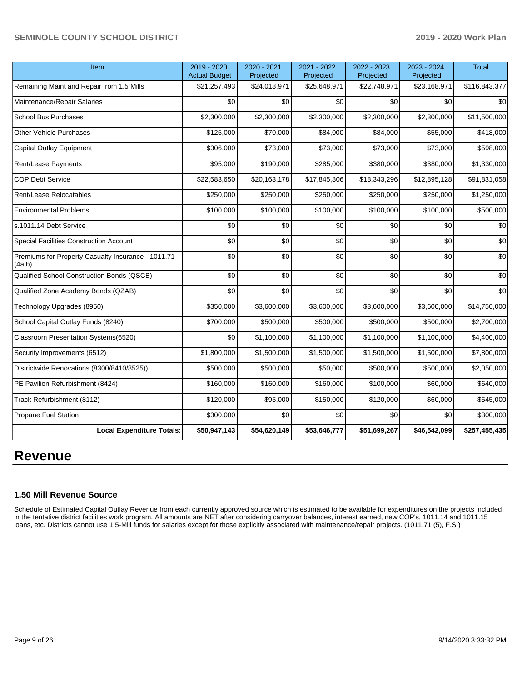| Item                                                         | 2019 - 2020<br><b>Actual Budget</b> | 2020 - 2021<br>Projected | 2021 - 2022<br>Projected | 2022 - 2023<br>Projected | 2023 - 2024<br>Projected | <b>Total</b>  |
|--------------------------------------------------------------|-------------------------------------|--------------------------|--------------------------|--------------------------|--------------------------|---------------|
| Remaining Maint and Repair from 1.5 Mills                    | \$21,257,493                        | \$24,018,971             | \$25,648,971             | \$22,748,971             | \$23,168,971             | \$116,843,377 |
| Maintenance/Repair Salaries                                  | \$0                                 | \$0                      | \$0                      | \$0                      | \$0                      | \$0           |
| <b>School Bus Purchases</b>                                  | \$2,300,000                         | \$2,300,000              | \$2,300,000              | \$2,300,000              | \$2,300,000              | \$11,500,000  |
| <b>Other Vehicle Purchases</b>                               | \$125,000                           | \$70,000                 | \$84,000                 | \$84,000                 | \$55,000                 | \$418,000     |
| <b>Capital Outlay Equipment</b>                              | \$306,000                           | \$73,000                 | \$73,000                 | \$73,000                 | \$73,000                 | \$598,000     |
| Rent/Lease Payments                                          | \$95,000                            | \$190,000                | \$285,000                | \$380,000                | \$380,000                | \$1,330,000   |
| <b>COP Debt Service</b>                                      | \$22,583,650                        | \$20,163,178             | \$17,845,806             | \$18,343,296             | \$12,895,128             | \$91,831,058  |
| Rent/Lease Relocatables                                      | \$250,000                           | \$250,000                | \$250,000                | \$250,000                | \$250,000                | \$1,250,000   |
| <b>Environmental Problems</b>                                | \$100,000                           | \$100,000                | \$100,000                | \$100,000                | \$100,000                | \$500,000     |
| s.1011.14 Debt Service                                       | \$0                                 | \$0                      | \$0                      | \$0                      | \$0                      | \$0           |
| Special Facilities Construction Account                      | \$0                                 | \$0                      | \$0                      | \$0                      | \$0                      | \$0           |
| Premiums for Property Casualty Insurance - 1011.71<br>(4a,b) | \$0                                 | \$0                      | \$0                      | \$0                      | \$0                      | \$0           |
| Qualified School Construction Bonds (QSCB)                   | \$0                                 | \$0                      | \$0                      | \$0                      | \$0                      | \$0           |
| Qualified Zone Academy Bonds (QZAB)                          | \$0                                 | \$0                      | \$0                      | \$0                      | \$0                      | \$0           |
| Technology Upgrades (8950)                                   | \$350,000                           | \$3,600,000              | \$3,600,000              | \$3,600,000              | \$3,600,000              | \$14,750,000  |
| School Capital Outlay Funds (8240)                           | \$700,000                           | \$500,000                | \$500,000                | \$500,000                | \$500,000                | \$2,700,000   |
| Classroom Presentation Systems(6520)                         | \$0                                 | \$1,100,000              | \$1,100,000              | \$1,100,000              | \$1,100,000              | \$4,400,000   |
| Security Improvements (6512)                                 | \$1,800,000                         | \$1,500,000              | \$1,500,000              | \$1,500,000              | \$1,500,000              | \$7,800,000   |
| Districtwide Renovations (8300/8410/8525))                   | \$500,000                           | \$500,000                | \$50,000                 | \$500,000                | \$500,000                | \$2,050,000   |
| PE Pavilion Refurbishment (8424)                             | \$160,000                           | \$160,000                | \$160,000                | \$100,000                | \$60,000                 | \$640,000     |
| Track Refurbishment (8112)                                   | \$120,000                           | \$95,000                 | \$150,000                | \$120,000                | \$60,000                 | \$545,000     |
| Propane Fuel Station                                         | \$300,000                           | \$0                      | \$0                      | \$0                      | \$0                      | \$300,000     |
| <b>Local Expenditure Totals:</b>                             | \$50,947,143                        | \$54,620,149             | \$53,646,777             | \$51,699,267             | \$46,542,099             | \$257,455,435 |

# **Revenue**

## **1.50 Mill Revenue Source**

Schedule of Estimated Capital Outlay Revenue from each currently approved source which is estimated to be available for expenditures on the projects included in the tentative district facilities work program. All amounts are NET after considering carryover balances, interest earned, new COP's, 1011.14 and 1011.15 loans, etc. Districts cannot use 1.5-Mill funds for salaries except for those explicitly associated with maintenance/repair projects. (1011.71 (5), F.S.)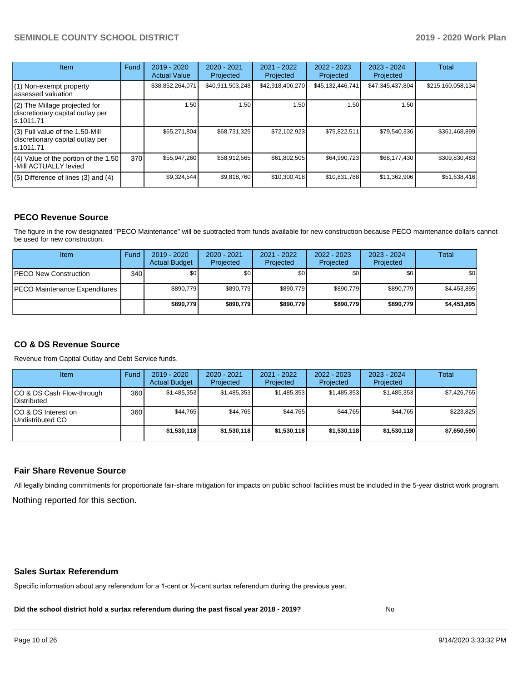| <b>Item</b>                                                                         | Fund | $2019 - 2020$<br><b>Actual Value</b> | $2020 - 2021$<br>Projected | 2021 - 2022<br>Projected | $2022 - 2023$<br>Projected | $2023 - 2024$<br>Projected | Total             |
|-------------------------------------------------------------------------------------|------|--------------------------------------|----------------------------|--------------------------|----------------------------|----------------------------|-------------------|
| (1) Non-exempt property<br>lassessed valuation                                      |      | \$38,852,264,071                     | \$40,911,503,248           | \$42,918,406,270         | \$45,132,446,741           | \$47,345,437,804           | \$215,160,058,134 |
| (2) The Millage projected for<br>discretionary capital outlay per<br>ls.1011.71     |      | 1.50                                 | 1.50                       | 1.50 <sub>1</sub>        | 1.50                       | 1.50                       |                   |
| $(3)$ Full value of the 1.50-Mill<br>discretionary capital outlay per<br>ls.1011.71 |      | \$65,271,804                         | \$68,731,325               | \$72,102,923             | \$75,822,511               | \$79,540,336               | \$361,468,899     |
| (4) Value of the portion of the 1.50<br>-Mill ACTUALLY levied                       | 370  | \$55,947,260                         | \$58,912,565               | \$61,802,505             | \$64,990,723               | \$68,177,430               | \$309,830,483     |
| $(5)$ Difference of lines $(3)$ and $(4)$                                           |      | \$9,324,544                          | \$9,818,760                | \$10,300,418             | \$10,831,788               | \$11,362,906               | \$51,638,416      |

## **PECO Revenue Source**

The figure in the row designated "PECO Maintenance" will be subtracted from funds available for new construction because PECO maintenance dollars cannot be used for new construction.

| <b>Item</b>                          | Fund         | $2019 - 2020$<br><b>Actual Budget</b> | 2020 - 2021<br>Projected | 2021 - 2022<br>Projected | 2022 - 2023<br>Projected | $2023 - 2024$<br>Projected | Total       |
|--------------------------------------|--------------|---------------------------------------|--------------------------|--------------------------|--------------------------|----------------------------|-------------|
| <b>IPECO New Construction</b>        | 340 <b>I</b> | \$0                                   | \$0                      | \$0                      | \$0                      | \$0                        | <b>\$01</b> |
| <b>PECO Maintenance Expenditures</b> |              | \$890.779                             | \$890,779                | \$890.779                | \$890.779                | \$890,779                  | \$4,453,895 |
|                                      |              | \$890,779                             | \$890,779                | \$890.779                | \$890.779                | \$890,779                  | \$4,453,895 |

# **CO & DS Revenue Source**

Revenue from Capital Outlay and Debt Service funds.

| Item                                      | Fund | 2019 - 2020<br><b>Actual Budget</b> | 2020 - 2021<br>Projected | 2021 - 2022<br>Projected | 2022 - 2023<br>Projected | $2023 - 2024$<br>Projected | Total       |
|-------------------------------------------|------|-------------------------------------|--------------------------|--------------------------|--------------------------|----------------------------|-------------|
| ICO & DS Cash Flow-through<br>Distributed | 360  | \$1,485,353                         | \$1,485,353              | \$1,485,353              | \$1.485.353              | \$1,485,353                | \$7,426,765 |
| ICO & DS Interest on<br>Undistributed CO  | 360  | \$44.765                            | \$44.765                 | \$44.765                 | \$44.765                 | \$44.765                   | \$223,825   |
|                                           |      | \$1,530,118                         | \$1,530,118              | \$1,530,118              | \$1,530,118              | \$1,530,118                | \$7,650,590 |

## **Fair Share Revenue Source**

Nothing reported for this section. All legally binding commitments for proportionate fair-share mitigation for impacts on public school facilities must be included in the 5-year district work program.

### **Sales Surtax Referendum**

Specific information about any referendum for a 1-cent or ½-cent surtax referendum during the previous year.

**Did the school district hold a surtax referendum during the past fiscal year 2018 - 2019?**

No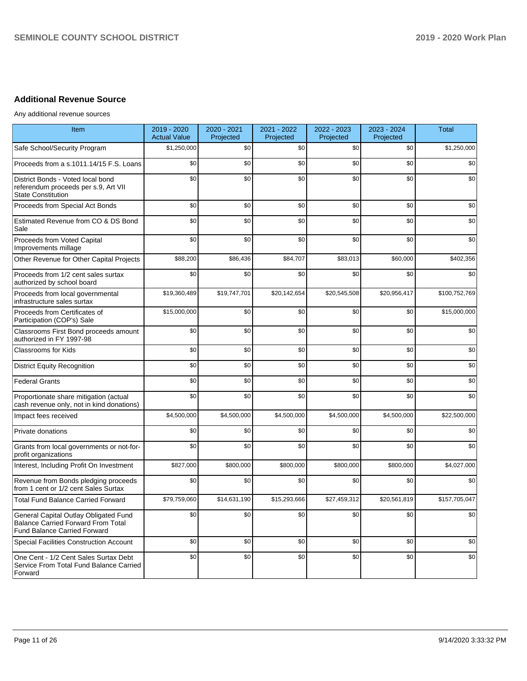# **Additional Revenue Source**

Any additional revenue sources

| Item                                                                                                                      | 2019 - 2020<br><b>Actual Value</b> | 2020 - 2021<br>Projected | 2021 - 2022<br>Projected | 2022 - 2023<br>Projected | 2023 - 2024<br>Projected | <b>Total</b>  |
|---------------------------------------------------------------------------------------------------------------------------|------------------------------------|--------------------------|--------------------------|--------------------------|--------------------------|---------------|
| Safe School/Security Program                                                                                              | \$1,250,000                        | \$0                      | \$0                      | \$0                      | \$0                      | \$1,250,000   |
| Proceeds from a s.1011.14/15 F.S. Loans                                                                                   | \$0                                | \$0                      | \$0                      | \$0                      | \$0                      | \$0           |
| District Bonds - Voted local bond<br>referendum proceeds per s.9, Art VII<br><b>State Constitution</b>                    | \$0                                | \$0                      | \$0                      | \$0                      | \$0                      | \$0           |
| Proceeds from Special Act Bonds                                                                                           | \$0                                | \$0                      | \$0                      | \$0                      | \$0                      | \$0           |
| Estimated Revenue from CO & DS Bond<br>Sale                                                                               | \$0                                | \$0                      | \$0                      | \$0                      | \$0                      | \$0           |
| Proceeds from Voted Capital<br>Improvements millage                                                                       | \$0                                | \$0                      | \$0                      | \$0                      | \$0                      | \$0           |
| Other Revenue for Other Capital Projects                                                                                  | \$88,200                           | \$86,436                 | \$84,707                 | \$83,013                 | \$60,000                 | \$402,356     |
| Proceeds from 1/2 cent sales surtax<br>authorized by school board                                                         | \$0                                | \$0                      | \$0                      | \$0                      | \$0                      | \$0           |
| Proceeds from local governmental<br>infrastructure sales surtax                                                           | \$19,360,489                       | \$19,747,701             | \$20,142,654             | \$20,545,508             | \$20,956,417             | \$100,752,769 |
| Proceeds from Certificates of<br>Participation (COP's) Sale                                                               | \$15,000,000                       | \$0                      | \$0                      | \$0                      | \$0                      | \$15,000,000  |
| Classrooms First Bond proceeds amount<br>authorized in FY 1997-98                                                         | \$0                                | \$0                      | \$0                      | \$0                      | \$0                      | \$0           |
| <b>Classrooms for Kids</b>                                                                                                | \$0                                | \$0                      | \$0                      | \$0                      | \$0                      | \$0           |
| <b>District Equity Recognition</b>                                                                                        | \$0                                | \$0                      | \$0                      | \$0                      | \$0                      | \$0           |
| <b>Federal Grants</b>                                                                                                     | \$0                                | \$0                      | \$0                      | \$0                      | \$0                      | \$0           |
| Proportionate share mitigation (actual<br>cash revenue only, not in kind donations)                                       | \$0                                | \$0                      | \$0                      | \$0                      | \$0                      | \$0           |
| Impact fees received                                                                                                      | \$4,500,000                        | \$4,500,000              | \$4,500,000              | \$4,500,000              | \$4,500,000              | \$22,500,000  |
| <b>Private donations</b>                                                                                                  | \$0                                | \$0                      | \$0                      | \$0                      | \$0                      | \$0           |
| Grants from local governments or not-for-<br>profit organizations                                                         | \$0                                | \$0                      | \$0                      | \$0                      | \$0                      | \$0           |
| Interest, Including Profit On Investment                                                                                  | \$827,000                          | \$800,000                | \$800,000                | \$800,000                | \$800,000                | \$4,027,000   |
| Revenue from Bonds pledging proceeds<br>from 1 cent or 1/2 cent Sales Surtax                                              | \$0                                | \$0                      | \$0                      | \$0                      | \$0                      | \$0           |
| <b>Total Fund Balance Carried Forward</b>                                                                                 | \$79,759,060                       | \$14.631.190             | \$15,293,666             | \$27,459,312             | \$20.561.819             | \$157,705,047 |
| General Capital Outlay Obligated Fund<br><b>Balance Carried Forward From Total</b><br><b>Fund Balance Carried Forward</b> | \$0                                | \$0                      | \$0                      | \$0                      | \$0                      | \$0           |
| Special Facilities Construction Account                                                                                   | \$0                                | \$0                      | \$0                      | \$0                      | \$0                      | \$0           |
| One Cent - 1/2 Cent Sales Surtax Debt<br>Service From Total Fund Balance Carried<br>Forward                               | \$0                                | \$0                      | \$0                      | \$0                      | \$0                      | \$0           |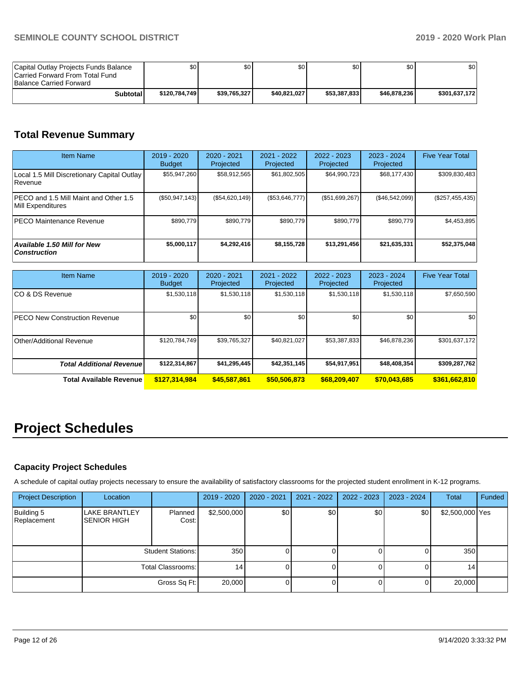| Capital Outlay Projects Funds Balance<br>Carried Forward From Total Fund<br><b>Balance Carried Forward</b> | SO I          | \$0          | \$0          | \$٥          | \$0          | \$0           |
|------------------------------------------------------------------------------------------------------------|---------------|--------------|--------------|--------------|--------------|---------------|
| Subtotal                                                                                                   | \$120.784.749 | \$39.765.327 | \$40.821.027 | \$53,387,833 | \$46,878,236 | \$301.637.172 |

# **Total Revenue Summary**

| <b>Item Name</b>                                              | 2019 - 2020<br><b>Budget</b> | $2020 - 2021$<br>Projected | 2021 - 2022<br>Projected | 2022 - 2023<br>Projected | $2023 - 2024$<br>Projected | <b>Five Year Total</b> |
|---------------------------------------------------------------|------------------------------|----------------------------|--------------------------|--------------------------|----------------------------|------------------------|
| Local 1.5 Mill Discretionary Capital Outlay<br><b>Revenue</b> | \$55,947,260                 | \$58,912,565               | \$61,802,505             | \$64,990,723             | \$68,177,430               | \$309,830,483          |
| PECO and 1.5 Mill Maint and Other 1.5<br>Mill Expenditures    | $(\$50,947,143)$             | (S54, 620, 149)            | (\$53,646,777)           | (\$51,699,267)           | (\$46,542,099)             | $(\$257,455,435)$      |
| <b>IPECO Maintenance Revenue</b>                              | \$890.779                    | \$890.779                  | \$890.779                | \$890,779                | \$890,779                  | \$4,453,895            |
| Available 1.50 Mill for New<br><b>Construction</b>            | \$5,000,117                  | \$4,292,416                | \$8,155,728              | \$13,291,456             | \$21,635,331               | \$52,375,048           |

| <b>Item Name</b>                      | $2019 - 2020$<br><b>Budget</b> | 2020 - 2021<br>Projected | 2021 - 2022<br>Projected | 2022 - 2023<br>Projected | 2023 - 2024<br>Projected | <b>Five Year Total</b> |
|---------------------------------------|--------------------------------|--------------------------|--------------------------|--------------------------|--------------------------|------------------------|
| ICO & DS Revenue                      | \$1,530,118                    | \$1,530,118              | \$1,530,118              | \$1,530,118              | \$1,530,118              | \$7,650,590            |
| <b>IPECO New Construction Revenue</b> | \$0 <sub>1</sub>               | \$0 <sub>1</sub>         | \$0                      | \$0                      | \$0                      | \$0                    |
| Other/Additional Revenue              | \$120,784,749                  | \$39,765,327             | \$40,821,027             | \$53,387,833             | \$46,878,236             | \$301,637,172          |
| <b>Total Additional Revenuel</b>      | \$122,314,867                  | \$41,295,445             | \$42,351,145             | \$54,917,951             | \$48,408,354             | \$309,287,762          |
| Total Available Revenue               | \$127,314,984                  | \$45,587,861             | \$50,506,873             | \$68,209,407             | \$70,043,685             | \$361,662,810          |

# **Project Schedules**

# **Capacity Project Schedules**

A schedule of capital outlay projects necessary to ensure the availability of satisfactory classrooms for the projected student enrollment in K-12 programs.

| <b>Project Description</b> | Location                                   |                          | 2019 - 2020 | $2020 - 2021$ | 2021 - 2022 | $2022 - 2023$ | 2023 - 2024 | Total           | Funded |
|----------------------------|--------------------------------------------|--------------------------|-------------|---------------|-------------|---------------|-------------|-----------------|--------|
| Building 5<br>Replacement  | <b>LAKE BRANTLEY</b><br><b>SENIOR HIGH</b> | Planned<br>Cost:         | \$2,500,000 | \$0           | \$0         | \$0           | \$0         | \$2,500,000 Yes |        |
|                            |                                            | <b>Student Stations:</b> |             | 350           | 0           |               |             | 350             |        |
|                            |                                            | Total Classrooms:        | 14          |               | ΟI          |               |             | 14 <sub>1</sub> |        |
|                            |                                            | Gross Sq Ft:             | 20,000      |               | O l         |               |             | 20,000          |        |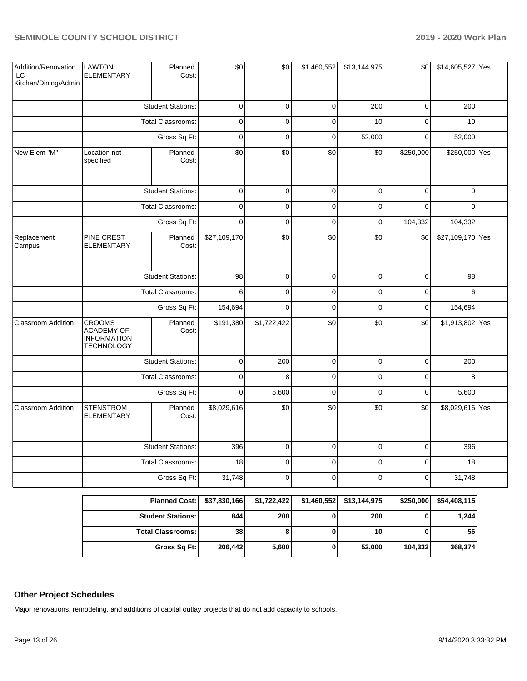| Addition/Renovation<br>∣ILC<br>Kitchen/Dining/Admin | <b>LAWTON</b><br><b>ELEMENTARY</b>                                            | Planned<br>Cost:         | \$0          | \$0         | \$1,460,552 | \$13,144,975 | \$0         | \$14,605,527 Yes |  |
|-----------------------------------------------------|-------------------------------------------------------------------------------|--------------------------|--------------|-------------|-------------|--------------|-------------|------------------|--|
|                                                     |                                                                               | <b>Student Stations:</b> | $\mathbf 0$  | $\mathbf 0$ | $\mathbf 0$ | 200          | $\mathbf 0$ | 200              |  |
|                                                     |                                                                               | <b>Total Classrooms:</b> | $\pmb{0}$    | $\mathbf 0$ | $\pmb{0}$   | 10           | $\mathbf 0$ | 10               |  |
|                                                     |                                                                               | Gross Sq Ft:             | $\mathsf 0$  | $\mathbf 0$ | $\mathsf 0$ | 52,000       | $\mathsf 0$ | 52,000           |  |
| New Elem "M"                                        | Planned<br>Location not<br>Cost:<br>specified                                 |                          | \$0          | \$0         | \$0         | \$0          | \$250,000   | \$250,000 Yes    |  |
|                                                     |                                                                               | <b>Student Stations:</b> | $\mathsf 0$  | $\mathbf 0$ | $\mathsf 0$ | $\mathbf 0$  | $\mathsf 0$ | $\mathbf 0$      |  |
|                                                     |                                                                               | <b>Total Classrooms:</b> | $\mathbf 0$  | $\Omega$    | $\mathbf 0$ | $\mathbf 0$  | $\Omega$    | $\Omega$         |  |
|                                                     |                                                                               | Gross Sq Ft:             | $\mathbf 0$  | $\mathbf 0$ | $\mathbf 0$ | $\mathbf 0$  | 104,332     | 104,332          |  |
| Replacement<br>Campus                               | PINE CREST<br><b>ELEMENTARY</b>                                               | Planned<br>Cost:         | \$27,109,170 | \$0         | \$0         | \$0          | \$0         | \$27,109,170 Yes |  |
|                                                     | <b>Student Stations:</b><br><b>Total Classrooms:</b>                          |                          | 98           | $\mathbf 0$ | $\mathbf 0$ | $\mathbf 0$  | $\mathbf 0$ | 98               |  |
|                                                     |                                                                               |                          | 6            | $\mathbf 0$ | $\mathsf 0$ | $\mathbf 0$  | $\mathbf 0$ | 6                |  |
|                                                     |                                                                               | Gross Sq Ft:             | 154,694      | $\Omega$    | $\pmb{0}$   | $\Omega$     | $\pmb{0}$   | 154,694          |  |
| <b>Classroom Addition</b>                           | <b>CROOMS</b><br><b>ACADEMY OF</b><br><b>INFORMATION</b><br><b>TECHNOLOGY</b> | Planned<br>Cost:         | \$191,380    | \$1,722,422 | \$0         | \$0          | \$0         | \$1,913,802 Yes  |  |
|                                                     |                                                                               | <b>Student Stations:</b> | $\pmb{0}$    | 200         | $\pmb{0}$   | $\pmb{0}$    | $\pmb{0}$   | 200              |  |
|                                                     |                                                                               | <b>Total Classrooms:</b> | $\mathbf 0$  | 8           | $\mathbf 0$ | $\Omega$     | $\mathbf 0$ | 8                |  |
|                                                     |                                                                               | Gross Sq Ft:             | $\mathbf 0$  | 5,600       | $\mathbf 0$ | $\mathbf 0$  | $\mathbf 0$ | 5,600            |  |
| <b>Classroom Addition</b>                           | <b>STENSTROM</b><br>ELEMENTARY                                                | Planned<br>Cost:         | \$8,029,616  | \$0         | \$0         | \$0          | \$0         | \$8,029,616 Yes  |  |
|                                                     |                                                                               | <b>Student Stations:</b> | 396          | $\mathbf 0$ | $\pmb{0}$   | $\mathbf 0$  | $\mathbf 0$ | 396              |  |
|                                                     |                                                                               | Total Classrooms:        | 18           | $\mathbf 0$ | $\pmb{0}$   | $\mathbf 0$  | $\pmb{0}$   | 18               |  |
|                                                     |                                                                               | Gross Sq Ft:             | 31,748       | $\Omega$    | $\Omega$    | $\Omega$     | $\Omega$    | 31,748           |  |

| Planned Cost:   \$37,830,166 |                 | \$1,722,422 |   | $$1,460,552$ $$13,144,975$ | \$250,000 | \$54,408,115 |
|------------------------------|-----------------|-------------|---|----------------------------|-----------|--------------|
| <b>Student Stations:</b>     | 844             | 200         |   | 200                        |           | 1.244        |
| <b>Total Classrooms: I</b>   | 38 <sub>1</sub> | 8           |   | 10                         |           | 56           |
| Gross Sq Ft:                 | 206.442         | 5,600       | 0 | 52,000                     | 104,332   | 368,374      |

# **Other Project Schedules**

Major renovations, remodeling, and additions of capital outlay projects that do not add capacity to schools.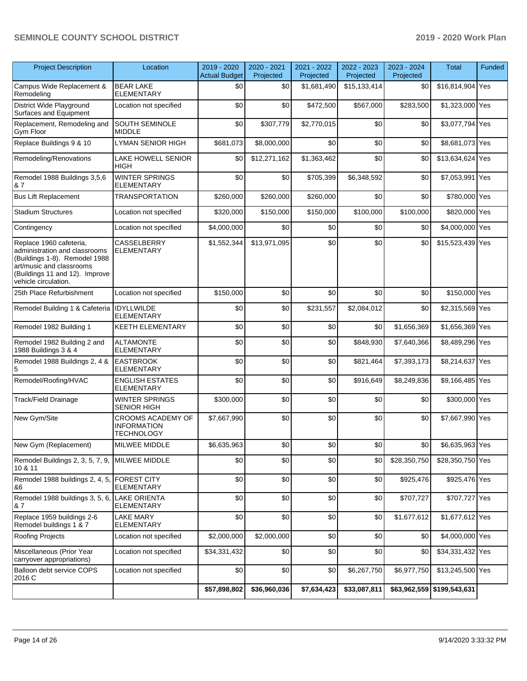| <b>Project Description</b>                                                                                                                                                      | Location                                                     | 2019 - 2020<br><b>Actual Budget</b> | 2020 - 2021<br>Projected | 2021 - 2022<br>Projected | 2022 - 2023<br>Projected | 2023 - 2024<br>Projected | Total                      | Funded |
|---------------------------------------------------------------------------------------------------------------------------------------------------------------------------------|--------------------------------------------------------------|-------------------------------------|--------------------------|--------------------------|--------------------------|--------------------------|----------------------------|--------|
| Campus Wide Replacement &<br>Remodeling                                                                                                                                         | <b>BEAR LAKE</b><br><b>ELEMENTARY</b>                        | \$0                                 | \$0                      | \$1,681,490              | \$15,133,414             | \$0                      | \$16,814,904 Yes           |        |
| District Wide Playground<br>Surfaces and Equipment                                                                                                                              | Location not specified                                       | \$0                                 | \$0                      | \$472,500                | \$567,000                | \$283,500                | \$1,323,000 Yes            |        |
| Replacement, Remodeling and<br>Gym Floor                                                                                                                                        | SOUTH SEMINOLE<br><b>MIDDLE</b>                              | \$0                                 | \$307,779                | \$2,770,015              | \$0                      | \$0                      | \$3,077,794 Yes            |        |
| Replace Buildings 9 & 10                                                                                                                                                        | LYMAN SENIOR HIGH                                            | \$681,073                           | \$8,000,000              | \$0                      | \$0                      | \$0                      | \$8,681,073 Yes            |        |
| Remodeling/Renovations                                                                                                                                                          | <b>LAKE HOWELL SENIOR</b><br>HIGH                            | \$0                                 | \$12,271,162             | \$1,363,462              | \$0                      | \$0                      | \$13,634,624 Yes           |        |
| Remodel 1988 Buildings 3,5,6<br>& 7                                                                                                                                             | <b>WINTER SPRINGS</b><br><b>ELEMENTARY</b>                   | \$0                                 | \$0                      | \$705,399                | \$6,348,592              | \$0                      | \$7,053,991 Yes            |        |
| <b>Bus Lift Replacement</b>                                                                                                                                                     | <b>TRANSPORTATION</b>                                        | \$260,000                           | \$260,000                | \$260,000                | \$0                      | \$0                      | \$780,000 Yes              |        |
| <b>Stadium Structures</b>                                                                                                                                                       | Location not specified                                       | \$320,000                           | \$150,000                | \$150,000                | \$100,000                | \$100,000                | \$820,000 Yes              |        |
| Contingency                                                                                                                                                                     | Location not specified                                       | \$4,000,000                         | \$0                      | \$0                      | \$0                      | \$0                      | \$4,000,000 Yes            |        |
| Replace 1960 cafeteria,<br>administration and classrooms<br>(Buildings 1-8). Remodel 1988<br>art/music and classrooms<br>(Buildings 11 and 12). Improve<br>vehicle circulation. | <b>CASSELBERRY</b><br><b>ELEMENTARY</b>                      | \$1,552,344                         | \$13,971,095             | \$0                      | \$0                      | \$0                      | \$15,523,439 Yes           |        |
| 25th Place Refurbishment                                                                                                                                                        | Location not specified                                       | \$150,000                           | \$0                      | \$0                      | \$0                      | \$0                      | \$150,000 Yes              |        |
| Remodel Building 1 & Cafeteria                                                                                                                                                  | <b>IDYLLWILDE</b><br><b>ELEMENTARY</b>                       | \$0                                 | \$0                      | \$231,557                | \$2,084,012              | \$0                      | \$2,315,569 Yes            |        |
| Remodel 1982 Building 1                                                                                                                                                         | <b>KEETH ELEMENTARY</b>                                      | \$0                                 | \$0                      | \$0                      | \$0                      | \$1,656,369              | \$1,656,369 Yes            |        |
| Remodel 1982 Building 2 and<br>1988 Buildings 3 & 4                                                                                                                             | <b>ALTAMONTE</b><br><b>ELEMENTARY</b>                        | \$0                                 | \$0                      | \$0                      | \$848,930                | \$7,640,366              | \$8,489,296 Yes            |        |
| Remodel 1988 Buildings 2, 4 &<br>5                                                                                                                                              | <b>EASTBROOK</b><br><b>ELEMENTARY</b>                        | \$0                                 | \$0                      | \$0                      | \$821,464                | \$7,393,173              | \$8,214,637 Yes            |        |
| Remodel/Roofing/HVAC                                                                                                                                                            | <b>ENGLISH ESTATES</b><br><b>ELEMENTARY</b>                  | \$0                                 | \$0                      | \$0                      | \$916,649                | \$8,249,836              | \$9,166,485 Yes            |        |
| Track/Field Drainage                                                                                                                                                            | <b>WINTER SPRINGS</b><br><b>SENIOR HIGH</b>                  | \$300,000                           | \$0                      | \$0                      | \$0                      | \$0                      | \$300,000 Yes              |        |
| New Gym/Site                                                                                                                                                                    | CROOMS ACADEMY OF<br><b>INFORMATION</b><br><b>TECHNOLOGY</b> | \$7,667,990                         | \$0                      | \$0                      | \$0                      | \$0                      | \$7,667,990 Yes            |        |
| New Gym (Replacement)                                                                                                                                                           | MILWEE MIDDLE                                                | \$6,635,963                         | \$0                      | \$0                      | $$0$$                    | \$0                      | \$6,635,963 Yes            |        |
| Remodel Buildings 2, 3, 5, 7, 9,<br>10 & 11                                                                                                                                     | MILWEE MIDDLE                                                | \$0                                 | \$0                      | \$0                      | \$0                      | \$28,350,750             | \$28,350,750 Yes           |        |
| Remodel 1988 buildings 2, 4, 5,<br>&6                                                                                                                                           | <b>FOREST CITY</b><br><b>ELEMENTARY</b>                      | \$0                                 | \$0                      | \$0                      | \$0                      | \$925,476                | \$925,476 Yes              |        |
| Remodel 1988 buildings 3, 5, 6,<br>& 7                                                                                                                                          | <b>LAKE ORIENTA</b><br><b>ELEMENTARY</b>                     | \$0                                 | \$0                      | \$0                      | \$0                      | \$707,727                | \$707,727 Yes              |        |
| Replace 1959 buildings 2-6<br>Remodel buildings 1 & 7                                                                                                                           | <b>LAKE MARY</b><br>ELEMENTARY                               | \$0                                 | \$0                      | \$0                      | \$0                      | \$1,677,612              | \$1,677,612 Yes            |        |
| Roofing Projects                                                                                                                                                                | Location not specified                                       | \$2,000,000                         | \$2,000,000              | \$0                      | \$0                      | \$0                      | \$4,000,000 Yes            |        |
| Miscellaneous (Prior Year<br>carryover appropriations)                                                                                                                          | Location not specified                                       | \$34,331,432                        | \$0                      | \$0                      | \$0                      | \$0                      | \$34,331,432 Yes           |        |
| Balloon debt service COPS<br>2016 C                                                                                                                                             | Location not specified                                       | \$0                                 | \$0                      | \$0                      | \$6,267,750              | \$6,977,750              | \$13,245,500 Yes           |        |
|                                                                                                                                                                                 |                                                              | \$57,898,802                        | \$36,960,036             | \$7,634,423              | \$33,087,811             |                          | \$63,962,559 \$199,543,631 |        |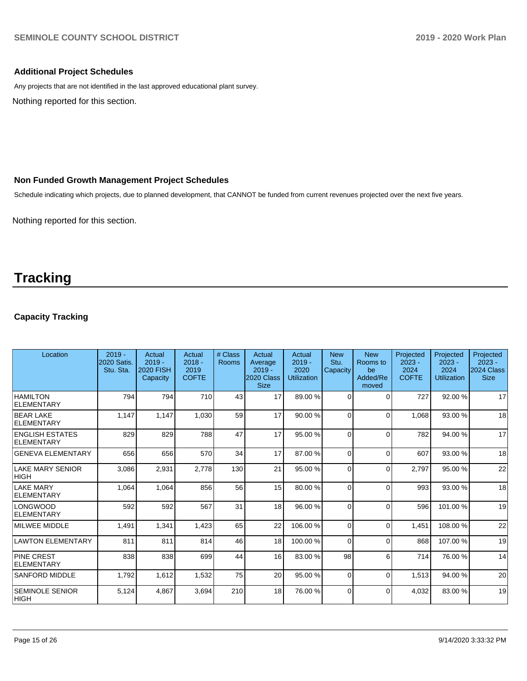## **Additional Project Schedules**

Any projects that are not identified in the last approved educational plant survey.

Nothing reported for this section.

# **Non Funded Growth Management Project Schedules**

Schedule indicating which projects, due to planned development, that CANNOT be funded from current revenues projected over the next five years.

Nothing reported for this section.

# **Tracking**

# **Capacity Tracking**

| Location                               | $2019 -$<br>2020 Satis.<br>Stu. Sta. | Actual<br>$2019 -$<br><b>2020 FISH</b><br>Capacity | Actual<br>$2018 -$<br>2019<br><b>COFTE</b> | # Class<br>Rooms | Actual<br>Average<br>$2019 -$<br>2020 Class<br><b>Size</b> | Actual<br>$2019 -$<br>2020<br><b>Utilization</b> | <b>New</b><br>Stu.<br>Capacity | <b>New</b><br>Rooms to<br>be<br>Added/Re<br>moved | Projected<br>$2023 -$<br>2024<br><b>COFTE</b> | Projected<br>$2023 -$<br>2024<br><b>Utilization</b> | Projected<br>$2023 -$<br>2024 Class<br><b>Size</b> |
|----------------------------------------|--------------------------------------|----------------------------------------------------|--------------------------------------------|------------------|------------------------------------------------------------|--------------------------------------------------|--------------------------------|---------------------------------------------------|-----------------------------------------------|-----------------------------------------------------|----------------------------------------------------|
| <b>HAMILTON</b><br>ELEMENTARY          | 794                                  | 794                                                | 710                                        | 43               | 17                                                         | 89.00 %                                          | $\Omega$                       | $\Omega$                                          | 727                                           | 92.00 %                                             | 17                                                 |
| <b>BEAR LAKE</b><br>ELEMENTARY         | 1,147                                | 1,147                                              | 1,030                                      | 59               | 17                                                         | 90.00 %                                          | $\Omega$                       | $\Omega$                                          | 1,068                                         | 93.00 %                                             | 18                                                 |
| <b>ENGLISH ESTATES</b><br>ELEMENTARY   | 829                                  | 829                                                | 788                                        | 47               | 17                                                         | 95.00 %                                          | $\Omega$                       | $\Omega$                                          | 782                                           | 94.00 %                                             | 17                                                 |
| <b>GENEVA ELEMENTARY</b>               | 656                                  | 656                                                | 570                                        | 34               | 17                                                         | 87.00 %                                          | $\Omega$                       | $\Omega$                                          | 607                                           | 93.00 %                                             | 18                                                 |
| <b>LAKE MARY SENIOR</b><br><b>HIGH</b> | 3,086                                | 2,931                                              | 2,778                                      | 130              | 21                                                         | 95.00 %                                          | $\Omega$                       | $\Omega$                                          | 2,797                                         | 95.00 %                                             | 22                                                 |
| <b>LAKE MARY</b><br>ELEMENTARY         | 1,064                                | 1,064                                              | 856                                        | 56               | 15                                                         | 80.00 %                                          | $\Omega$                       | $\Omega$                                          | 993                                           | 93.00 %                                             | 18                                                 |
| <b>LONGWOOD</b><br>ELEMENTARY          | 592                                  | 592                                                | 567                                        | 31               | 18                                                         | 96.00 %                                          | $\Omega$                       | $\Omega$                                          | 596                                           | 101.00%                                             | 19                                                 |
| <b>IMILWEE MIDDLE</b>                  | 1,491                                | 1,341                                              | 1,423                                      | 65               | 22                                                         | 106.00%                                          | $\Omega$                       | $\Omega$                                          | 1,451                                         | 108.00%                                             | 22                                                 |
| <b>LAWTON ELEMENTARY</b>               | 811                                  | 811                                                | 814                                        | 46               | 18                                                         | 100.00%                                          | $\Omega$                       | $\Omega$                                          | 868                                           | 107.00%                                             | 19                                                 |
| <b>PINE CREST</b><br>ELEMENTARY        | 838                                  | 838                                                | 699                                        | 44               | 16                                                         | 83.00 %                                          | 98                             | 6                                                 | 714                                           | 76.00 %                                             | 14                                                 |
| <b>SANFORD MIDDLE</b>                  | 1,792                                | 1,612                                              | 1,532                                      | 75               | 20                                                         | 95.00 %                                          | $\Omega$                       | $\Omega$                                          | 1,513                                         | 94.00 %                                             | 20                                                 |
| <b>SEMINOLE SENIOR</b><br> HIGH        | 5,124                                | 4,867                                              | 3,694                                      | 210              | 18                                                         | 76.00 %                                          | $\Omega$                       | $\Omega$                                          | 4,032                                         | 83.00 %                                             | 19                                                 |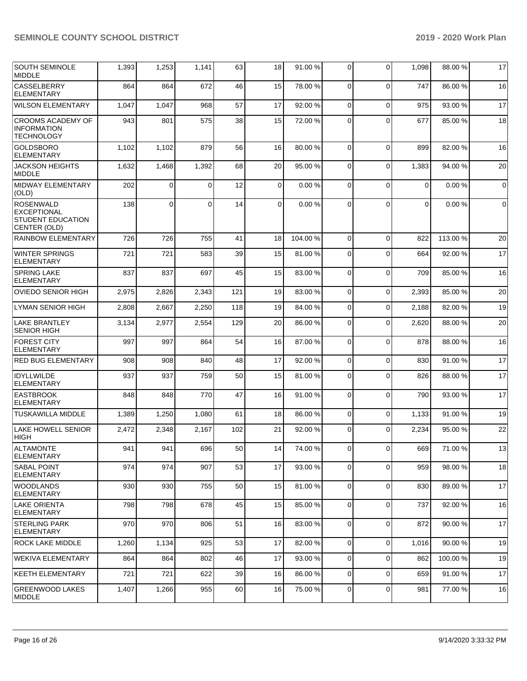| <b>SOUTH SEMINOLE</b><br><b>MIDDLE</b>                                      | 1,393 | 1,253          | 1,141    | 63  | 18             | 91.00 % | 0              | $\Omega$    | 1,098       | 88.00 %  | 17          |
|-----------------------------------------------------------------------------|-------|----------------|----------|-----|----------------|---------|----------------|-------------|-------------|----------|-------------|
| <b>CASSELBERRY</b><br><b>ELEMENTARY</b>                                     | 864   | 864            | 672      | 46  | 15             | 78.00 % | 0              | $\Omega$    | 747         | 86.00 %  | 16          |
| <b>WILSON ELEMENTARY</b>                                                    | 1,047 | 1,047          | 968      | 57  | 17             | 92.00 % | 0              | $\Omega$    | 975         | 93.00 %  | 17          |
| <b>CROOMS ACADEMY OF</b><br><b>INFORMATION</b><br><b>TECHNOLOGY</b>         | 943   | 801            | 575      | 38  | 15             | 72.00 % | 0              | $\Omega$    | 677         | 85.00 %  | 18          |
| <b>GOLDSBORO</b><br><b>ELEMENTARY</b>                                       | 1,102 | 1,102          | 879      | 56  | 16             | 80.00 % | $\overline{0}$ | $\Omega$    | 899         | 82.00 %  | 16          |
| <b>JACKSON HEIGHTS</b><br><b>MIDDLE</b>                                     | 1,632 | 1,468          | 1,392    | 68  | 20             | 95.00 % | 0              | $\Omega$    | 1,383       | 94.00 %  | 20          |
| MIDWAY ELEMENTARY<br>(OLD)                                                  | 202   | 0              | 0        | 12  | 0              | 0.00%   | 0              | $\Omega$    | $\mathbf 0$ | 0.00%    | $\mathbf 0$ |
| <b>ROSENWALD</b><br><b>EXCEPTIONAL</b><br>STUDENT EDUCATION<br>CENTER (OLD) | 138   | $\overline{0}$ | $\Omega$ | 14  | $\overline{0}$ | 0.00%   | $\Omega$       | $\Omega$    | 0           | 0.00%    | $\mathbf 0$ |
| RAINBOW ELEMENTARY                                                          | 726   | 726            | 755      | 41  | 18             | 104.00% | 0              | $\Omega$    | 822         | 113.00 % | 20          |
| <b>WINTER SPRINGS</b><br>ELEMENTARY                                         | 721   | 721            | 583      | 39  | 15             | 81.00%  | 0              | $\Omega$    | 664         | 92.00 %  | 17          |
| <b>SPRING LAKE</b><br>ELEMENTARY                                            | 837   | 837            | 697      | 45  | 15             | 83.00 % | 0              | $\Omega$    | 709         | 85.00 %  | 16          |
| <b>OVIEDO SENIOR HIGH</b>                                                   | 2,975 | 2,826          | 2,343    | 121 | 19             | 83.00 % | $\mathbf 0$    | $\Omega$    | 2,393       | 85.00 %  | 20          |
| <b>LYMAN SENIOR HIGH</b>                                                    | 2,808 | 2,667          | 2,250    | 118 | 19             | 84.00 % | $\mathbf 0$    | $\Omega$    | 2,188       | 82.00 %  | 19          |
| <b>LAKE BRANTLEY</b><br><b>SENIOR HIGH</b>                                  | 3,134 | 2,977          | 2,554    | 129 | 20             | 86.00 % | $\mathbf 0$    | $\Omega$    | 2,620       | 88.00 %  | 20          |
| <b>FOREST CITY</b><br><b>ELEMENTARY</b>                                     | 997   | 997            | 864      | 54  | 16             | 87.00 % | 0              | $\Omega$    | 878         | 88.00 %  | 16          |
| <b>RED BUG ELEMENTARY</b>                                                   | 908   | 908            | 840      | 48  | 17             | 92.00 % | $\overline{0}$ | $\mathbf 0$ | 830         | 91.00%   | 17          |
| <b>IDYLLWILDE</b><br><b>ELEMENTARY</b>                                      | 937   | 937            | 759      | 50  | 15             | 81.00%  | 0              | $\Omega$    | 826         | 88.00 %  | 17          |
| <b>EASTBROOK</b><br>ELEMENTARY                                              | 848   | 848            | 770      | 47  | 16             | 91.00%  | $\overline{0}$ | $\Omega$    | 790         | 93.00 %  | 17          |
| <b>TUSKAWILLA MIDDLE</b>                                                    | 1,389 | 1,250          | 1,080    | 61  | 18             | 86.00 % | 0              | $\Omega$    | 1,133       | 91.00 %  | 19          |
| <b>LAKE HOWELL SENIOR</b><br><b>HIGH</b>                                    | 2,472 | 2,348          | 2,167    | 102 | 21             | 92.00 % | $\Omega$       | $\Omega$    | 2,234       | 95.00 %  | 22          |
| ALTAMONTE<br><b>ELEMENTARY</b>                                              | 941   | 941            | 696      | 50  | 14             | 74.00 % | $\overline{0}$ | 0           | 669         | 71.00%   | 13          |
| <b>SABAL POINT</b><br>ELEMENTARY                                            | 974   | 974            | 907      | 53  | 17             | 93.00 % | $\overline{0}$ | $\Omega$    | 959         | 98.00 %  | 18          |
| <b>WOODLANDS</b><br><b>ELEMENTARY</b>                                       | 930   | 930            | 755      | 50  | 15             | 81.00 % | 0              | 0           | 830         | 89.00 %  | 17          |
| <b>LAKE ORIENTA</b><br><b>ELEMENTARY</b>                                    | 798   | 798            | 678      | 45  | 15             | 85.00 % | 0              | $\mathbf 0$ | 737         | 92.00 %  | 16          |
| <b>STERLING PARK</b><br><b>ELEMENTARY</b>                                   | 970   | 970            | 806      | 51  | 16             | 83.00 % | $\mathbf 0$    | $\Omega$    | 872         | 90.00 %  | 17          |
| <b>ROCK LAKE MIDDLE</b>                                                     | 1,260 | 1,134          | 925      | 53  | 17             | 82.00 % | 0              | $\Omega$    | 1,016       | 90.00 %  | 19          |
| <b>WEKIVA ELEMENTARY</b>                                                    | 864   | 864            | 802      | 46  | 17             | 93.00 % | 0              | $\Omega$    | 862         | 100.00%  | 19          |
| <b>KEETH ELEMENTARY</b>                                                     | 721   | 721            | 622      | 39  | 16             | 86.00 % | 0              | $\Omega$    | 659         | 91.00 %  | 17          |
| <b>GREENWOOD LAKES</b><br><b>MIDDLE</b>                                     | 1,407 | 1,266          | 955      | 60  | 16             | 75.00 % | 0              | 0           | 981         | 77.00 %  | 16          |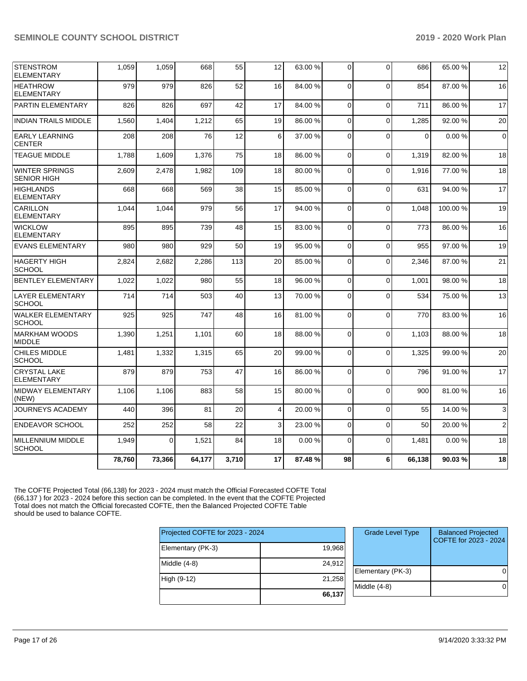| <b>STENSTROM</b><br><b>ELEMENTARY</b>       | 1,059  | 1,059    | 668    | 55    | 12 | 63.00 % | 0           | $\Omega$ | 686      | 65.00 % | 12             |
|---------------------------------------------|--------|----------|--------|-------|----|---------|-------------|----------|----------|---------|----------------|
| <b>HEATHROW</b><br><b>ELEMENTARY</b>        | 979    | 979      | 826    | 52    | 16 | 84.00 % | $\Omega$    | $\Omega$ | 854      | 87.00 % | 16             |
| PARTIN ELEMENTARY                           | 826    | 826      | 697    | 42    | 17 | 84.00%  | $\Omega$    | $\Omega$ | 711      | 86.00 % | 17             |
| <b>INDIAN TRAILS MIDDLE</b>                 | 1,560  | 1,404    | 1,212  | 65    | 19 | 86.00 % | $\Omega$    | $\Omega$ | 1,285    | 92.00 % | 20             |
| <b>EARLY LEARNING</b><br><b>CENTER</b>      | 208    | 208      | 76     | 12    | 6  | 37.00 % | $\Omega$    | $\Omega$ | $\Omega$ | 0.00%   | $\mathbf 0$    |
| <b>TEAGUE MIDDLE</b>                        | 1.788  | 1.609    | 1.376  | 75    | 18 | 86.00 % | $\Omega$    | $\Omega$ | 1.319    | 82.00 % | 18             |
| <b>WINTER SPRINGS</b><br><b>SENIOR HIGH</b> | 2,609  | 2,478    | 1,982  | 109   | 18 | 80.00 % | $\Omega$    | $\Omega$ | 1,916    | 77.00 % | 18             |
| <b>HIGHLANDS</b><br><b>ELEMENTARY</b>       | 668    | 668      | 569    | 38    | 15 | 85.00 % | $\Omega$    | $\Omega$ | 631      | 94.00 % | 17             |
| <b>CARILLON</b><br><b>ELEMENTARY</b>        | 1.044  | 1.044    | 979    | 56    | 17 | 94.00 % | $\Omega$    | $\Omega$ | 1.048    | 100.00% | 19             |
| <b>WICKLOW</b><br><b>ELEMENTARY</b>         | 895    | 895      | 739    | 48    | 15 | 83.00 % | 0           | $\Omega$ | 773      | 86.00 % | 16             |
| <b>EVANS ELEMENTARY</b>                     | 980    | 980      | 929    | 50    | 19 | 95.00 % | $\mathbf 0$ | $\Omega$ | 955      | 97.00 % | 19             |
| <b>HAGERTY HIGH</b><br><b>SCHOOL</b>        | 2,824  | 2,682    | 2,286  | 113   | 20 | 85.00 % | 0           | $\Omega$ | 2,346    | 87.00 % | 21             |
| <b>BENTLEY ELEMENTARY</b>                   | 1,022  | 1.022    | 980    | 55    | 18 | 96.00 % | $\Omega$    | $\Omega$ | 1.001    | 98.00 % | 18             |
| <b>LAYER ELEMENTARY</b><br><b>SCHOOL</b>    | 714    | 714      | 503    | 40    | 13 | 70.00 % | $\mathbf 0$ | $\Omega$ | 534      | 75.00 % | 13             |
| <b>WALKER ELEMENTARY</b><br><b>SCHOOL</b>   | 925    | 925      | 747    | 48    | 16 | 81.00%  | $\Omega$    | $\Omega$ | 770      | 83.00 % | 16             |
| <b>MARKHAM WOODS</b><br><b>MIDDLE</b>       | 1,390  | 1,251    | 1,101  | 60    | 18 | 88.00 % | $\Omega$    | $\Omega$ | 1.103    | 88.00 % | 18             |
| <b>CHILES MIDDLE</b><br><b>SCHOOL</b>       | 1,481  | 1,332    | 1,315  | 65    | 20 | 99.00 % | $\Omega$    | $\Omega$ | 1.325    | 99.00 % | 20             |
| <b>CRYSTAL LAKE</b><br><b>ELEMENTARY</b>    | 879    | 879      | 753    | 47    | 16 | 86.00 % | $\Omega$    | $\Omega$ | 796      | 91.00 % | 17             |
| <b>MIDWAY ELEMENTARY</b><br>(NEW)           | 1,106  | 1,106    | 883    | 58    | 15 | 80.00 % | $\mathbf 0$ | $\Omega$ | 900      | 81.00 % | 16             |
| JOURNEYS ACADEMY                            | 440    | 396      | 81     | 20    | 4  | 20.00 % | $\mathbf 0$ | $\Omega$ | 55       | 14.00 % | 3              |
| <b>ENDEAVOR SCHOOL</b>                      | 252    | 252      | 58     | 22    | 3  | 23.00 % | $\Omega$    | $\Omega$ | 50       | 20.00 % | $\overline{2}$ |
| MILLENNIUM MIDDLE<br><b>SCHOOL</b>          | 1,949  | $\Omega$ | 1,521  | 84    | 18 | 0.00%   | $\Omega$    | $\Omega$ | 1,481    | 0.00%   | 18             |
|                                             | 78.760 | 73,366   | 64,177 | 3,710 | 17 | 87.48%  | 98          | 6        | 66.138   | 90.03%  | 18             |

The COFTE Projected Total (66,138) for 2023 - 2024 must match the Official Forecasted COFTE Total (66,137 ) for 2023 - 2024 before this section can be completed. In the event that the COFTE Projected Total does not match the Official forecasted COFTE, then the Balanced Projected COFTE Table should be used to balance COFTE.

| Projected COFTE for 2023 - 2024 |        |
|---------------------------------|--------|
| Elementary (PK-3)               | 19,968 |
| Middle $(4-8)$                  | 24,912 |
| High (9-12)                     | 21,258 |
|                                 | 66,137 |

| <b>Grade Level Type</b> | <b>Balanced Projected</b><br>COFTE for 2023 - 2024 |
|-------------------------|----------------------------------------------------|
| Elementary (PK-3)       |                                                    |
| Middle (4-8)            |                                                    |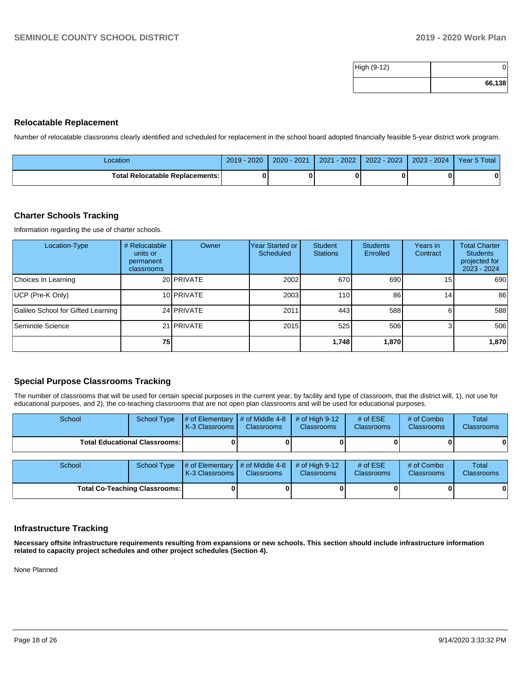| High (9-12) |        |
|-------------|--------|
|             | 66,138 |

## **Relocatable Replacement**

Number of relocatable classrooms clearly identified and scheduled for replacement in the school board adopted financially feasible 5-year district work program.

| Location                          | $2019 - 2020$ | 2020 - 2021 | $-2022$<br>2021 | 2022 - 2023 | 2023 - 2024 | Year 5 Total |
|-----------------------------------|---------------|-------------|-----------------|-------------|-------------|--------------|
| Total Relocatable Replacements: I |               |             |                 |             |             |              |

## **Charter Schools Tracking**

Information regarding the use of charter schools.

| Location-Type                      | # Relocatable<br>units or<br>permanent<br>classrooms | Owner      | Year Started or<br>Scheduled | Student<br><b>Stations</b> | <b>Students</b><br>Enrolled | Years in<br>Contract | <b>Total Charter</b><br><b>Students</b><br>projected for<br>2023 - 2024 |
|------------------------------------|------------------------------------------------------|------------|------------------------------|----------------------------|-----------------------------|----------------------|-------------------------------------------------------------------------|
| Choices In Learning                |                                                      | 20 PRIVATE | 2002                         | 670                        | 690                         | 15 <sub>l</sub>      | 690                                                                     |
| UCP (Pre-K Only)                   |                                                      | 10 PRIVATE | 2003                         | 110                        | 86                          | 14 <sub>1</sub>      | 86                                                                      |
| Galileo School for Gifted Learning |                                                      | 24 PRIVATE | 2011                         | 443                        | 588                         | 61                   | 588                                                                     |
| Seminole Science                   |                                                      | 21 PRIVATE | 2015                         | 525                        | 506                         | 31                   | 506                                                                     |
|                                    | <b>751</b>                                           |            |                              | 1.748                      | 1,870                       |                      | 1,870                                                                   |

## **Special Purpose Classrooms Tracking**

The number of classrooms that will be used for certain special purposes in the current year, by facility and type of classroom, that the district will, 1), not use for educational purposes, and 2), the co-teaching classrooms that are not open plan classrooms and will be used for educational purposes.

| School                                 | School Type        | # of Elementary<br>K-3 Classrooms | # of Middle 4-8<br><b>Classrooms</b> | # of High $9-12$<br><b>Classrooms</b> | # of $ESE$<br><b>Classrooms</b> | # of Combo<br><b>Classrooms</b> | <b>Total</b><br><b>Classrooms</b> |
|----------------------------------------|--------------------|-----------------------------------|--------------------------------------|---------------------------------------|---------------------------------|---------------------------------|-----------------------------------|
| <b>Total Educational Classrooms: I</b> |                    |                                   |                                      |                                       |                                 |                                 |                                   |
| School                                 | <b>School Type</b> | # of Elementary<br>K-3 Classrooms | # of Middle 4-8<br><b>Classrooms</b> | # of High $9-12$<br><b>Classrooms</b> | # of $ESE$<br><b>Classrooms</b> | # of Combo<br>Classrooms        | <b>Total</b><br>Classrooms        |
| <b>Total Co-Teaching Classrooms:</b>   |                    |                                   |                                      |                                       |                                 |                                 | 0                                 |

# **Infrastructure Tracking**

**Necessary offsite infrastructure requirements resulting from expansions or new schools. This section should include infrastructure information related to capacity project schedules and other project schedules (Section 4).** 

None Planned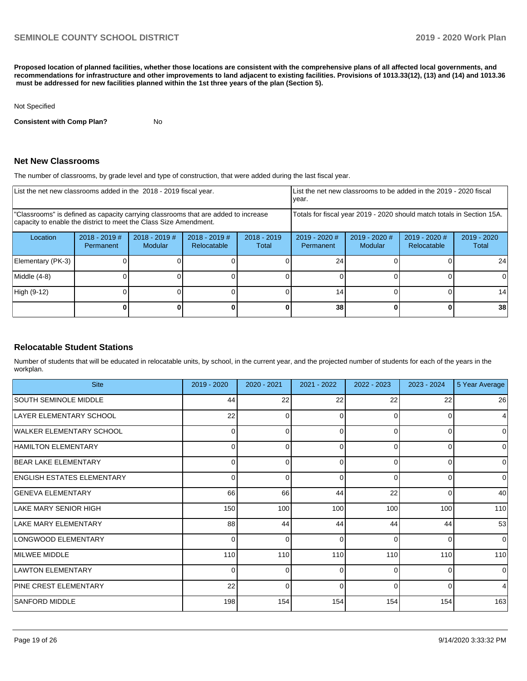**Proposed location of planned facilities, whether those locations are consistent with the comprehensive plans of all affected local governments, and recommendations for infrastructure and other improvements to land adjacent to existing facilities. Provisions of 1013.33(12), (13) and (14) and 1013.36 must be addressed for new facilities planned within the 1st three years of the plan (Section 5).** 

#### Not Specified

**Consistent with Comp Plan?** No

#### **Net New Classrooms**

The number of classrooms, by grade level and type of construction, that were added during the last fiscal year.

|                   | List the net new classrooms added in the 2018 - 2019 fiscal year.                                                                                       |                                   |                                |                        |                                                                        | List the net new classrooms to be added in the 2019 - 2020 fiscal<br>year. |                                |                      |  |  |
|-------------------|---------------------------------------------------------------------------------------------------------------------------------------------------------|-----------------------------------|--------------------------------|------------------------|------------------------------------------------------------------------|----------------------------------------------------------------------------|--------------------------------|----------------------|--|--|
|                   | "Classrooms" is defined as capacity carrying classrooms that are added to increase<br>capacity to enable the district to meet the Class Size Amendment. |                                   |                                |                        | Totals for fiscal year 2019 - 2020 should match totals in Section 15A. |                                                                            |                                |                      |  |  |
| Location          | $2018 - 2019$ #<br>Permanent                                                                                                                            | $2018 - 2019$ #<br><b>Modular</b> | $2018 - 2019$ #<br>Relocatable | $2018 - 2019$<br>Total | $2019 - 2020$ #<br>Permanent                                           | $2019 - 2020$ #<br>Modular                                                 | $2019 - 2020$ #<br>Relocatable | 2019 - 2020<br>Total |  |  |
| Elementary (PK-3) |                                                                                                                                                         |                                   |                                |                        | 24                                                                     |                                                                            |                                | 24                   |  |  |
| Middle (4-8)      |                                                                                                                                                         |                                   |                                |                        |                                                                        |                                                                            |                                | $\Omega$             |  |  |
| High (9-12)       |                                                                                                                                                         |                                   |                                |                        | 14                                                                     |                                                                            |                                | 14                   |  |  |
|                   |                                                                                                                                                         |                                   |                                |                        | 38                                                                     |                                                                            |                                | 38                   |  |  |

## **Relocatable Student Stations**

Number of students that will be educated in relocatable units, by school, in the current year, and the projected number of students for each of the years in the workplan.

| <b>Site</b>                       | 2019 - 2020    | 2020 - 2021 | 2021 - 2022  | 2022 - 2023 | 2023 - 2024 | 5 Year Average |
|-----------------------------------|----------------|-------------|--------------|-------------|-------------|----------------|
| <b>SOUTH SEMINOLE MIDDLE</b>      | 44             | 22          | 22           | 22          | 22          | 26             |
| LAYER ELEMENTARY SCHOOL           | 22             | 0           | 0            | 0           | 0           | 4              |
| WALKER ELEMENTARY SCHOOL          | 01             | 0           | 0            | $\Omega$    | $\Omega$    | 0              |
| <b>HAMILTON ELEMENTARY</b>        | $\overline{0}$ | 0           | 0            | $\Omega$    | 0           | 0              |
| <b>BEAR LAKE ELEMENTARY</b>       | 01             | 0           | <sup>0</sup> | $\Omega$    | $\Omega$    | $\Omega$       |
| <b>ENGLISH ESTATES ELEMENTARY</b> | $\overline{0}$ | 0           | 0            | $\Omega$    | 0           | 0              |
| <b>GENEVA ELEMENTARY</b>          | 66             | 66          | 44           | 22          | $\Omega$    | 40             |
| LAKE MARY SENIOR HIGH             | 150            | 100         | 100          | 100         | 100         | 110            |
| LAKE MARY ELEMENTARY              | 88             | 44          | 44           | 44          | 44          | 53             |
| LONGWOOD ELEMENTARY               | $\overline{0}$ | 0           | 0            | $\Omega$    | 0           | $\mathbf 0$    |
| MILWEE MIDDLE                     | 110            | 110         | 110          | 110         | 110         | 110            |
| <b>LAWTON ELEMENTARY</b>          | $\overline{0}$ | 0           | 0            | $\Omega$    | 0           | 0              |
| <b>PINE CREST ELEMENTARY</b>      | 22             | $\Omega$    | O            | $\Omega$    | $\Omega$    | 4              |
| <b>SANFORD MIDDLE</b>             | 198            | 154         | 154          | 154         | 154         | 163            |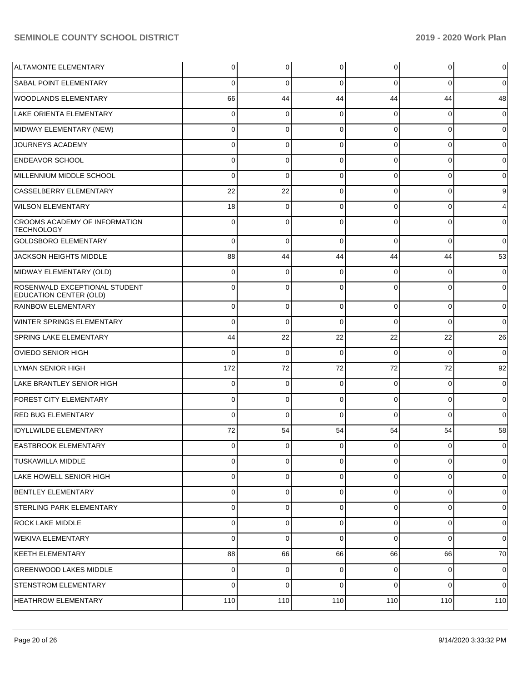| <b>ALTAMONTE ELEMENTARY</b>                               | 0        | 0           | 0           | 0           | $\overline{0}$ | $\mathbf 0$    |
|-----------------------------------------------------------|----------|-------------|-------------|-------------|----------------|----------------|
| <b>SABAL POINT ELEMENTARY</b>                             | 0        | 0           | 0           | 0           | 0              | $\mathbf 0$    |
| <b>WOODLANDS ELEMENTARY</b>                               | 66       | 44          | 44          | 44          | 44             | 48             |
| <b>LAKE ORIENTA ELEMENTARY</b>                            | 0        | 0           | 0           | 0           | 0              | $\mathbf 0$    |
| MIDWAY ELEMENTARY (NEW)                                   | 0        | 0           | 0           | $\mathbf 0$ | 0              | $\mathbf 0$    |
| JOURNEYS ACADEMY                                          | 0        | 0           | $\mathbf 0$ | $\mathbf 0$ | 0              | $\mathbf 0$    |
| <b>ENDEAVOR SCHOOL</b>                                    | 0        | 0           | 0           | $\mathbf 0$ | 0              | $\mathbf 0$    |
| MILLENNIUM MIDDLE SCHOOL                                  | 0        | 0           | 0           | 0           | 0              | $\mathbf 0$    |
| CASSELBERRY ELEMENTARY                                    | 22       | 22          | $\mathbf 0$ | $\mathbf 0$ | 0              | 9              |
| <b>WILSON ELEMENTARY</b>                                  | 18       | 0           | 0           | 0           | 0              | $\overline{4}$ |
| <b>CROOMS ACADEMY OF INFORMATION</b><br><b>TECHNOLOGY</b> | 0        | 0           | $\Omega$    | $\Omega$    | 0              | $\mathbf 0$    |
| <b>GOLDSBORO ELEMENTARY</b>                               | $\Omega$ | $\mathbf 0$ | $\Omega$    | $\Omega$    | $\overline{0}$ | $\mathbf 0$    |
| JACKSON HEIGHTS MIDDLE                                    | 88       | 44          | 44          | 44          | 44             | 53             |
| MIDWAY ELEMENTARY (OLD)                                   | 0        | 0           | 0           | $\Omega$    | $\mathbf 0$    | $\mathbf 0$    |
| ROSENWALD EXCEPTIONAL STUDENT<br>EDUCATION CENTER (OLD)   | 0        | $\Omega$    | $\Omega$    | $\Omega$    | $\mathbf 0$    | $\mathbf 0$    |
| <b>RAINBOW ELEMENTARY</b>                                 | 0        | 0           | $\Omega$    | $\Omega$    | 0              | $\overline{0}$ |
| WINTER SPRINGS ELEMENTARY                                 | 0        | 0           | $\Omega$    | $\Omega$    | 0              | $\overline{0}$ |
| SPRING LAKE ELEMENTARY                                    | 44       | 22          | 22          | 22          | 22             | 26             |
| <b>OVIEDO SENIOR HIGH</b>                                 | 0        | 0           | $\Omega$    | 0           | 0              | $\mathbf 0$    |
| LYMAN SENIOR HIGH                                         | 172      | 72          | 72          | 72          | 72             | 92             |
| LAKE BRANTLEY SENIOR HIGH                                 | 0        | 0           | $\Omega$    | 0           | 0              | $\overline{0}$ |
| <b>FOREST CITY ELEMENTARY</b>                             | 0        | 0           | $\Omega$    | 0           | 0              | $\mathbf 0$    |
| <b>RED BUG ELEMENTARY</b>                                 | 0        | 0           | $\Omega$    | 0           | 0              | $\overline{0}$ |
| <b>IDYLLWILDE ELEMENTARY</b>                              | 72       | 54          | 54          | 54          | 54             | 58             |
| <b>EASTBROOK ELEMENTARY</b>                               | 0        | $\Omega$    | $\Omega$    | 0           | $\overline{0}$ | $\overline{0}$ |
| <b>TUSKAWILLA MIDDLE</b>                                  | 0        | 0           | $\Omega$    | 0           | 0              | $\overline{0}$ |
| LAKE HOWELL SENIOR HIGH                                   | 0        | 0           | $\Omega$    | 0           | 0              | $\overline{0}$ |
| <b>BENTLEY ELEMENTARY</b>                                 | 0        | 0           | 0           | 0           | $\overline{0}$ | $\overline{0}$ |
| STERLING PARK ELEMENTARY                                  | 0        | 0           | $\mathbf 0$ | 0           | $\overline{0}$ | $\overline{0}$ |
| <b>ROCK LAKE MIDDLE</b>                                   | 0        | 0           | $\mathbf 0$ | 0           | $\overline{0}$ | $\overline{0}$ |
| WEKIVA ELEMENTARY                                         | 0        | 0           | $\Omega$    | $\Omega$    | $\overline{0}$ | $\overline{0}$ |
| <b>KEETH ELEMENTARY</b>                                   | 88       | 66          | 66          | 66          | 66             | 70             |
| <b>GREENWOOD LAKES MIDDLE</b>                             | 0        | 0           | $\mathbf 0$ | 0           | 0              | $\overline{0}$ |
| <b>STENSTROM ELEMENTARY</b>                               | 0        | 0           | $\mathbf 0$ | 0           | $\overline{0}$ | $\overline{0}$ |
| HEATHROW ELEMENTARY                                       | 110      | 110         | 110         | 110         | 110            | 110            |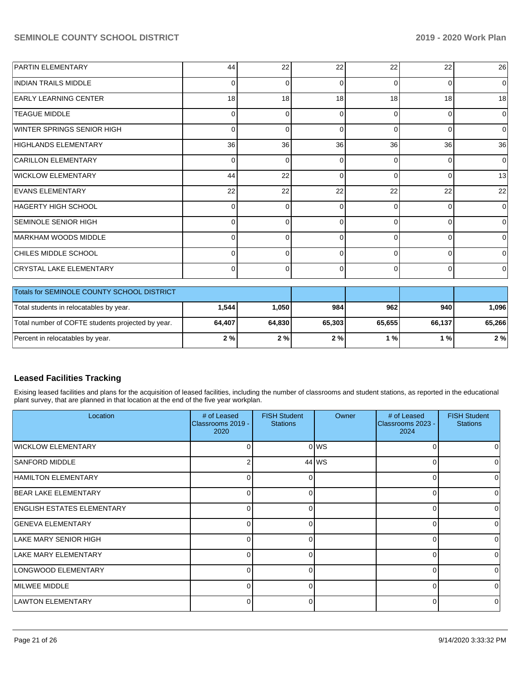| <b>PARTIN ELEMENTARY</b>                   | 44              | 22       | 22       | 22       | 22       | 26       |
|--------------------------------------------|-----------------|----------|----------|----------|----------|----------|
| <b>INDIAN TRAILS MIDDLE</b>                | 0               |          | 0        | $\Omega$ | 0        | 0        |
| <b>EARLY LEARNING CENTER</b>               | 18 <sup>1</sup> | 18       | 18       | 18       | 18       | 18       |
| <b>TEAGUE MIDDLE</b>                       | 0               | n        | 0        | $\Omega$ | 0        | $\Omega$ |
| WINTER SPRINGS SENIOR HIGH                 | $\Omega$        | ი        | 0        | $\Omega$ | 0        | 0        |
| HIGHLANDS ELEMENTARY                       | 36 <sup>1</sup> | 36       | 36       | 36       | 36       | 36       |
| <b>CARILLON ELEMENTARY</b>                 | 0               | 0        | 0        | 0        | 0        | 0        |
| <b>WICKLOW ELEMENTARY</b>                  | 44              | 22       | 0        | $\Omega$ | $\Omega$ | 13       |
| <b>EVANS ELEMENTARY</b>                    | 22              | 22       | 22       | 22       | 22       | 22       |
| HAGERTY HIGH SCHOOL                        | $\Omega$        | $\Omega$ | 0        | $\Omega$ | 0        | 0        |
| SEMINOLE SENIOR HIGH                       | 0               |          | $\Omega$ | $\Omega$ | $\Omega$ | $\Omega$ |
| MARKHAM WOODS MIDDLE                       | $\Omega$        | ი        | 0        | $\Omega$ | 0        | 0        |
| CHILES MIDDLE SCHOOL                       |                 |          | 0        | ∩        | $\Omega$ | $\Omega$ |
| <b>CRYSTAL LAKE ELEMENTARY</b>             | $\Omega$        | 0        | 0        | $\Omega$ | $\Omega$ | 0        |
| Totals for SEMINOLE COUNTY SCHOOL DISTRICT |                 |          |          |          |          |          |

| <b>Totals for SEMINOLE COUNTY SCHOOL DISTRICT</b> |        |         |        |        |        |        |  |
|---------------------------------------------------|--------|---------|--------|--------|--------|--------|--|
| Total students in relocatables by year.           | 1,544  | 1.050 l | 984    | 962    | 940 l  | .096   |  |
| Total number of COFTE students projected by year. | 64.407 | 64,830  | 65.303 | 65.655 | 66,137 | 65.266 |  |
| Percent in relocatables by year.                  | 2%     | 2%      | 2%     | %      | 1 % l  | 2%     |  |

# **Leased Facilities Tracking**

Exising leased facilities and plans for the acquisition of leased facilities, including the number of classrooms and student stations, as reported in the educational plant survey, that are planned in that location at the end of the five year workplan.

| Location                          | # of Leased<br>Classrooms 2019 -<br>2020 | <b>FISH Student</b><br><b>Stations</b> | Owner | # of Leased<br>Classrooms 2023 -<br>2024 | <b>FISH Student</b><br><b>Stations</b> |
|-----------------------------------|------------------------------------------|----------------------------------------|-------|------------------------------------------|----------------------------------------|
| WICKLOW ELEMENTARY                | 0                                        |                                        | 0 WS  |                                          |                                        |
| <b>SANFORD MIDDLE</b>             | 2                                        |                                        | 44 WS |                                          |                                        |
| <b>HAMILTON ELEMENTARY</b>        | 0                                        | $\Omega$                               |       |                                          |                                        |
| <b>BEAR LAKE ELEMENTARY</b>       | 0                                        | $\Omega$                               |       |                                          |                                        |
| <b>ENGLISH ESTATES ELEMENTARY</b> | O                                        | $\Omega$                               |       |                                          |                                        |
| <b>GENEVA ELEMENTARY</b>          | 0                                        | $\Omega$                               |       |                                          | ∩                                      |
| LAKE MARY SENIOR HIGH             | 0                                        | $\Omega$                               |       |                                          |                                        |
| LAKE MARY ELEMENTARY              | 0                                        | 01                                     |       |                                          |                                        |
| LONGWOOD ELEMENTARY               | 0                                        | $\overline{0}$                         |       | U                                        | 0                                      |
| <b>IMILWEE MIDDLE</b>             | 0                                        | 0                                      |       |                                          |                                        |
| LAWTON ELEMENTARY                 | 0                                        | $\Omega$                               |       |                                          |                                        |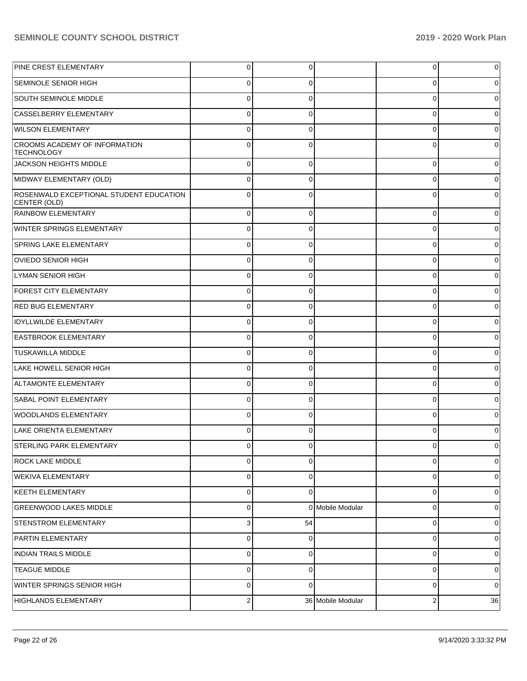| PINE CREST ELEMENTARY                                   | $\overline{0}$ | 0           |                   | 0        | $\mathbf 0$    |
|---------------------------------------------------------|----------------|-------------|-------------------|----------|----------------|
| <b>SEMINOLE SENIOR HIGH</b>                             | $\overline{0}$ | 0           |                   | 0        | $\overline{0}$ |
| SOUTH SEMINOLE MIDDLE                                   | $\overline{0}$ | $\mathbf 0$ |                   | 0        | 0              |
| CASSELBERRY ELEMENTARY                                  | $\overline{0}$ | $\mathbf 0$ |                   | 0        | 0              |
| <b>WILSON ELEMENTARY</b>                                | $\overline{0}$ | $\mathbf 0$ |                   | 0        | 0              |
| CROOMS ACADEMY OF INFORMATION<br><b>TECHNOLOGY</b>      | 0              | $\Omega$    |                   | $\Omega$ | 0              |
| JACKSON HEIGHTS MIDDLE                                  | $\overline{0}$ | $\Omega$    |                   | $\Omega$ | $\overline{0}$ |
| MIDWAY ELEMENTARY (OLD)                                 | $\overline{0}$ | $\Omega$    |                   | $\Omega$ | $\overline{0}$ |
| ROSENWALD EXCEPTIONAL STUDENT EDUCATION<br>CENTER (OLD) | $\Omega$       | $\Omega$    |                   | $\Omega$ | 0              |
| <b>RAINBOW ELEMENTARY</b>                               | $\overline{0}$ | $\Omega$    |                   | 0        | 0              |
| WINTER SPRINGS ELEMENTARY                               | 0              | 0           |                   | 0        | 0              |
| <b>SPRING LAKE ELEMENTARY</b>                           | 0              | $\Omega$    |                   | 0        | 0              |
| OVIEDO SENIOR HIGH                                      | 0              | 0           |                   | 0        | 0              |
| LYMAN SENIOR HIGH                                       | 0              | $\Omega$    |                   | 0        | 0              |
| <b>FOREST CITY ELEMENTARY</b>                           | 0              | $\Omega$    |                   | 0        | 0              |
| <b>RED BUG ELEMENTARY</b>                               | 0              | $\Omega$    |                   | 0        | 0              |
| <b>IDYLLWILDE ELEMENTARY</b>                            | 0              | 0           |                   | 0        | 0              |
| <b>EASTBROOK ELEMENTARY</b>                             | 0              | $\Omega$    |                   | 0        | 0              |
| <b>TUSKAWILLA MIDDLE</b>                                | 0              | $\Omega$    |                   | 0        | 0              |
| LAKE HOWELL SENIOR HIGH                                 | 0              | $\Omega$    |                   | O        | 0              |
| ALTAMONTE ELEMENTARY                                    | 0              | $\Omega$    |                   | 0        | 0              |
| <b>SABAL POINT ELEMENTARY</b>                           | 0              | $\Omega$    |                   | 0        | 0              |
| <b>WOODLANDS ELEMENTARY</b>                             | 0              | 0           |                   | 0        | 0              |
| LAKE ORIENTA ELEMENTARY                                 | 0              | $\Omega$    |                   | 0        | 0              |
| STERLING PARK ELEMENTARY                                | $\Omega$       | $\Omega$    |                   | 0        | 0              |
| <b>ROCK LAKE MIDDLE</b>                                 | 0              | $\Omega$    |                   | 0        | 0              |
| <b>WEKIVA ELEMENTARY</b>                                | $\mathbf 0$    | 0           |                   | 0        | 0              |
| <b>KEETH ELEMENTARY</b>                                 | $\mathbf 0$    | $\mathbf 0$ |                   | 0        | $\overline{0}$ |
| <b>GREENWOOD LAKES MIDDLE</b>                           | 0              |             | 0 Mobile Modular  | 0        | 0              |
| <b>STENSTROM ELEMENTARY</b>                             | 3              | 54          |                   | 0        | $\overline{0}$ |
| PARTIN ELEMENTARY                                       | 0              | $\Omega$    |                   | 0        | 0              |
| <b>INDIAN TRAILS MIDDLE</b>                             | $\mathbf 0$    | 0           |                   | 0        | $\overline{0}$ |
| <b>TEAGUE MIDDLE</b>                                    | $\mathbf 0$    | 0           |                   | 0        | 0              |
| WINTER SPRINGS SENIOR HIGH                              | $\mathbf 0$    | $\mathbf 0$ |                   | 0        | $\overline{0}$ |
| <b>HIGHLANDS ELEMENTARY</b>                             | 2 <sub>1</sub> |             | 36 Mobile Modular | 2        | 36             |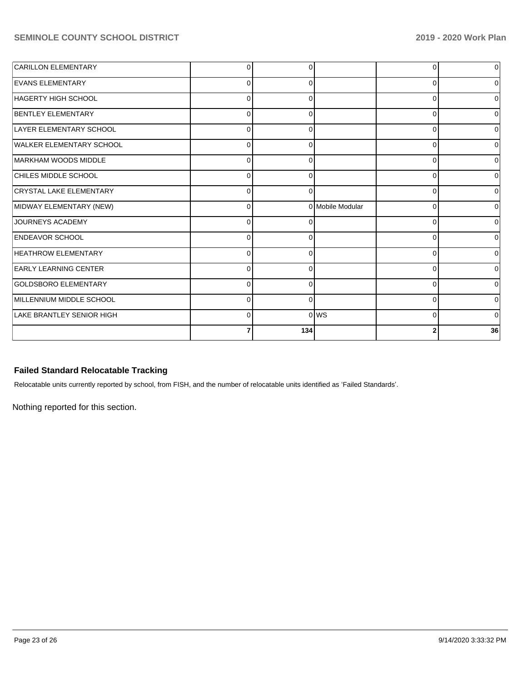| CARILLON ELEMENTARY              | $\Omega$    |          |                  |          | $\overline{0}$                   |
|----------------------------------|-------------|----------|------------------|----------|----------------------------------|
| <b>EVANS ELEMENTARY</b>          | $\Omega$    |          |                  | ∩        | $\overline{0}$                   |
| HAGERTY HIGH SCHOOL              | $\Omega$    |          |                  | 0        | $\overline{0}$                   |
| BENTLEY ELEMENTARY               | $\Omega$    | ſ        |                  | $\Omega$ | $\overline{0}$                   |
| LAYER ELEMENTARY SCHOOL          | 0           |          |                  | U        | $\overline{0}$                   |
| WALKER ELEMENTARY SCHOOL         | $\mathbf 0$ |          |                  | U        | 0                                |
| MARKHAM WOODS MIDDLE             | 0           | O        |                  | 0        | 0                                |
| <b>CHILES MIDDLE SCHOOL</b>      | $\Omega$    | r        |                  | ∩        | $\Omega$                         |
| CRYSTAL LAKE ELEMENTARY          | $\Omega$    | ∩        |                  | ∩        | $\Omega$                         |
| MIDWAY ELEMENTARY (NEW)          | $\Omega$    |          | 0 Mobile Modular | O        | $\overline{0}$                   |
| JOURNEYS ACADEMY                 |             |          |                  | $\Omega$ | $\overline{0}$                   |
|                                  | $\Omega$    |          |                  |          |                                  |
| <b>ENDEAVOR SCHOOL</b>           | $\Omega$    |          |                  | n        |                                  |
| <b>HEATHROW ELEMENTARY</b>       | $\mathbf 0$ |          |                  | U        | $\overline{0}$<br>$\overline{0}$ |
| <b>EARLY LEARNING CENTER</b>     | 0           |          |                  | U        | 0                                |
| GOLDSBORO ELEMENTARY             | $\Omega$    |          |                  | U        |                                  |
| MILLENNIUM MIDDLE SCHOOL         | $\Omega$    | $\Omega$ |                  | 0        | $\overline{0}$<br>$\overline{0}$ |
| <b>LAKE BRANTLEY SENIOR HIGH</b> | $\Omega$    |          | 0 WS             | $\Omega$ | $\overline{0}$                   |

# **Failed Standard Relocatable Tracking**

Relocatable units currently reported by school, from FISH, and the number of relocatable units identified as 'Failed Standards'.

Nothing reported for this section.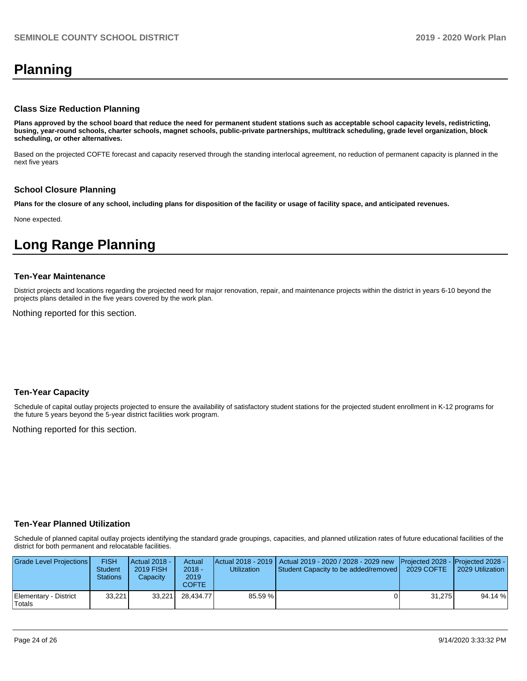# **Planning**

### **Class Size Reduction Planning**

**Plans approved by the school board that reduce the need for permanent student stations such as acceptable school capacity levels, redistricting, busing, year-round schools, charter schools, magnet schools, public-private partnerships, multitrack scheduling, grade level organization, block scheduling, or other alternatives.**

Based on the projected COFTE forecast and capacity reserved through the standing interlocal agreement, no reduction of permanent capacity is planned in the next five years

## **School Closure Planning**

**Plans for the closure of any school, including plans for disposition of the facility or usage of facility space, and anticipated revenues.** 

None expected.

# **Long Range Planning**

#### **Ten-Year Maintenance**

District projects and locations regarding the projected need for major renovation, repair, and maintenance projects within the district in years 6-10 beyond the projects plans detailed in the five years covered by the work plan.

Nothing reported for this section.

## **Ten-Year Capacity**

Schedule of capital outlay projects projected to ensure the availability of satisfactory student stations for the projected student enrollment in K-12 programs for the future 5 years beyond the 5-year district facilities work program.

Nothing reported for this section.

## **Ten-Year Planned Utilization**

Schedule of planned capital outlay projects identifying the standard grade groupings, capacities, and planned utilization rates of future educational facilities of the district for both permanent and relocatable facilities.

| Grade Level Projections         | FISH<br>Student<br>Stations | Actual 2018 -<br><b>2019 FISH</b><br>Capacity | Actual<br>$2018 -$<br>2019<br>COFTE | Utilization | Actual 2018 - 2019   Actual 2019 - 2020 / 2028 - 2029 new   Projected 2028 -   Projected 2028 -<br>Student Capacity to be added/removed | 2029 COFTE | 2029 Utilization |
|---------------------------------|-----------------------------|-----------------------------------------------|-------------------------------------|-------------|-----------------------------------------------------------------------------------------------------------------------------------------|------------|------------------|
| Elementary - District<br>Totals | 33.221                      | 33.221                                        | 28.434.77                           | 85.59 %     |                                                                                                                                         | 31.275     | 94.14 %          |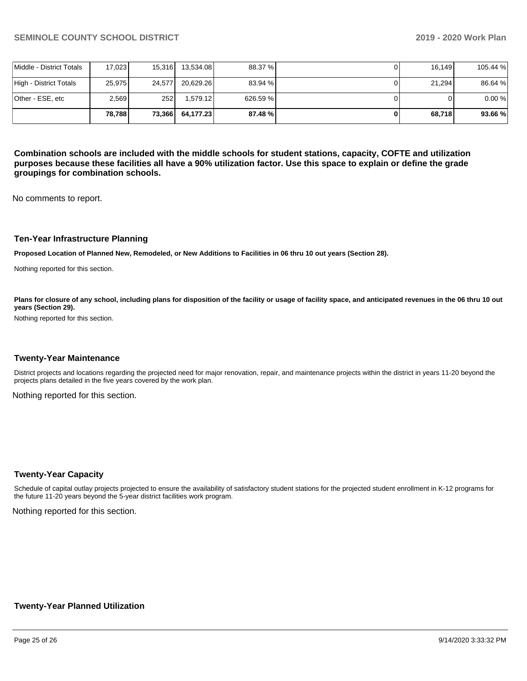|                          | 78.788 | 73,366 | 64,177.23 | 87.48%   | 68.718 | 93.66%   |
|--------------------------|--------|--------|-----------|----------|--------|----------|
| Other - ESE, etc         | 2,569  | 252    | 1.579.12  | 626.59 % |        | 0.00%    |
| High - District Totals   | 25,975 | 24.577 | 20,629.26 | 83.94 %  | 21,294 | 86.64 %  |
| Middle - District Totals | 17,023 | 15.316 | 13,534.08 | 88.37 %  | 16.149 | 105.44 % |

**Combination schools are included with the middle schools for student stations, capacity, COFTE and utilization purposes because these facilities all have a 90% utilization factor. Use this space to explain or define the grade groupings for combination schools.** 

No comments to report.

### **Ten-Year Infrastructure Planning**

**Proposed Location of Planned New, Remodeled, or New Additions to Facilities in 06 thru 10 out years (Section 28).**

Nothing reported for this section.

Plans for closure of any school, including plans for disposition of the facility or usage of facility space, and anticipated revenues in the 06 thru 10 out **years (Section 29).**

Nothing reported for this section.

#### **Twenty-Year Maintenance**

District projects and locations regarding the projected need for major renovation, repair, and maintenance projects within the district in years 11-20 beyond the projects plans detailed in the five years covered by the work plan.

Nothing reported for this section.

#### **Twenty-Year Capacity**

Schedule of capital outlay projects projected to ensure the availability of satisfactory student stations for the projected student enrollment in K-12 programs for the future 11-20 years beyond the 5-year district facilities work program.

Nothing reported for this section.

## **Twenty-Year Planned Utilization**